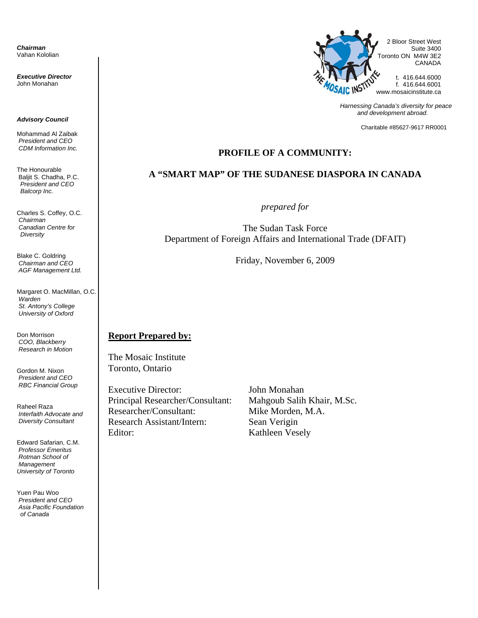*Chairman* Vahan Kololian

*Executive Director* John Monahan

#### *Advisory Council*

Mohammad Al Zaibak  *President and CEO CDM Information Inc.* 

The Honourable Baljit S. Chadha, P.C. *President and CEO Balcorp Inc.* 

Charles S. Coffey, O.C. *Chairman Canadian Centre for Diversity* 

Blake C. Goldring *Chairman and CEO AGF Management Ltd.* 

Margaret O. MacMillan, O.C. *Warden St. Antony's College University of Oxford* 

Don Morrison *COO, Blackberry Research in Motion* 

Gordon M. Nixon *President and CEO RBC Financial Group* 

Raheel Raza *Interfaith Advocate and Diversity Consultant* 

Edward Safarian, C.M. *Professor Emeritus Rotman School of Management University of Toronto* 

Yuen Pau Woo *President and CEO Asia Pacific Foundation of Canada* 



*Harnessing Canada's diversity for peace and development abroad.* 

Charitable #85627-9617 RR0001

#### **PROFILE OF A COMMUNITY:**

#### **A "SMART MAP" OF THE SUDANESE DIASPORA IN CANADA**

*prepared for* 

The Sudan Task Force Department of Foreign Affairs and International Trade (DFAIT)

Friday, November 6, 2009

#### **Report Prepared by:**

The Mosaic Institute Toronto, Ontario

Executive Director: John Monahan Principal Researcher/Consultant: Mahgoub Salih Khair, M.Sc. Researcher/Consultant: Mike Morden, M.A. Research Assistant/Intern: Sean Verigin Editor: Kathleen Vesely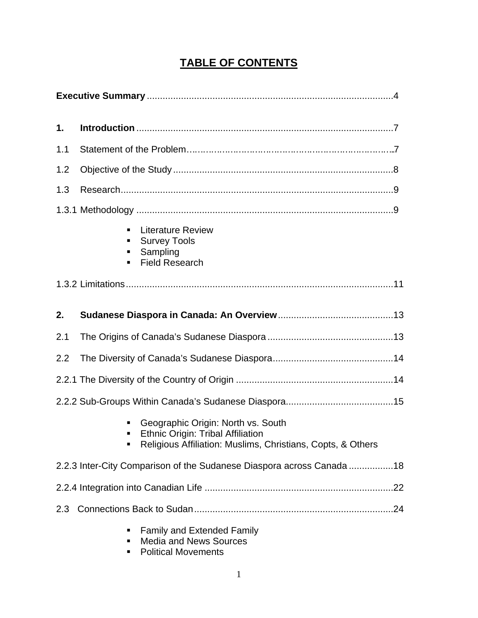# **TABLE OF CONTENTS**

| 1.  |                                                                                                                                               |  |  |
|-----|-----------------------------------------------------------------------------------------------------------------------------------------------|--|--|
| 1.1 |                                                                                                                                               |  |  |
| 1.2 |                                                                                                                                               |  |  |
| 1.3 |                                                                                                                                               |  |  |
|     |                                                                                                                                               |  |  |
|     | <b>Literature Review</b><br><b>Survey Tools</b><br>п<br>Sampling<br><b>Field Research</b>                                                     |  |  |
|     |                                                                                                                                               |  |  |
| 2.  |                                                                                                                                               |  |  |
| 2.1 |                                                                                                                                               |  |  |
| 2.2 |                                                                                                                                               |  |  |
|     |                                                                                                                                               |  |  |
|     |                                                                                                                                               |  |  |
|     | Geographic Origin: North vs. South<br><b>Ethnic Origin: Tribal Affiliation</b><br>Religious Affiliation: Muslims, Christians, Copts, & Others |  |  |
|     | 2.2.3 Inter-City Comparison of the Sudanese Diaspora across Canada 18                                                                         |  |  |
|     |                                                                                                                                               |  |  |
| 2.3 |                                                                                                                                               |  |  |
|     | Family and Extended Family<br><b>Media and News Sources</b>                                                                                   |  |  |

**•** Political Movements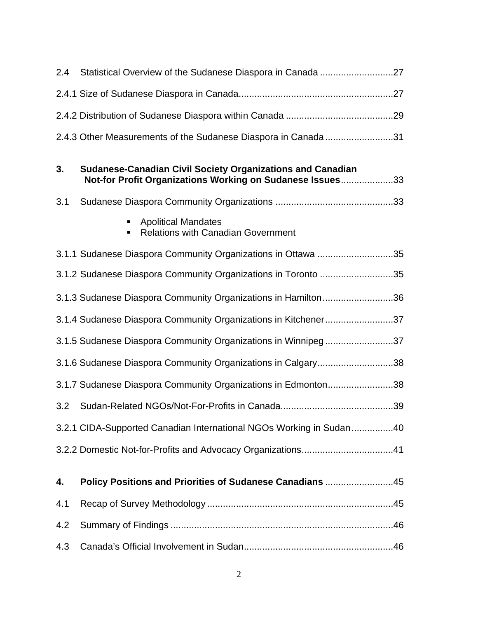| 2.4 |                                                                                                                                |
|-----|--------------------------------------------------------------------------------------------------------------------------------|
|     |                                                                                                                                |
|     |                                                                                                                                |
|     | 2.4.3 Other Measurements of the Sudanese Diaspora in Canada31                                                                  |
| 3.  | <b>Sudanese-Canadian Civil Society Organizations and Canadian</b><br>Not-for Profit Organizations Working on Sudanese Issues33 |
| 3.1 |                                                                                                                                |
|     | <b>Apolitical Mandates</b><br><b>Relations with Canadian Government</b>                                                        |
|     | 3.1.1 Sudanese Diaspora Community Organizations in Ottawa 35                                                                   |
|     | 3.1.2 Sudanese Diaspora Community Organizations in Toronto 35                                                                  |
|     | 3.1.3 Sudanese Diaspora Community Organizations in Hamilton36                                                                  |
|     | 3.1.4 Sudanese Diaspora Community Organizations in Kitchener37                                                                 |
|     | 3.1.5 Sudanese Diaspora Community Organizations in Winnipeg37                                                                  |
|     | 3.1.6 Sudanese Diaspora Community Organizations in Calgary38                                                                   |
|     | 3.1.7 Sudanese Diaspora Community Organizations in Edmonton38                                                                  |
| 3.2 |                                                                                                                                |
|     | 3.2.1 CIDA-Supported Canadian International NGOs Working in Sudan40                                                            |
|     |                                                                                                                                |
| 4.  | Policy Positions and Priorities of Sudanese Canadians 45                                                                       |
| 4.1 |                                                                                                                                |
| 4.2 |                                                                                                                                |
| 4.3 |                                                                                                                                |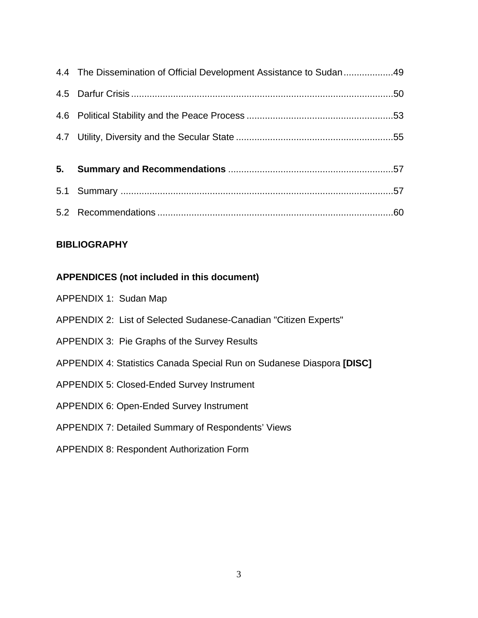| 4.4 The Dissemination of Official Development Assistance to Sudan49 |  |
|---------------------------------------------------------------------|--|
|                                                                     |  |
|                                                                     |  |
|                                                                     |  |
|                                                                     |  |
|                                                                     |  |
|                                                                     |  |
|                                                                     |  |

### **BIBLIOGRAPHY**

# **APPENDICES (not included in this document)**

| APPENDIX 1: Sudan Map |                                                                       |
|-----------------------|-----------------------------------------------------------------------|
|                       | APPENDIX 2: List of Selected Sudanese-Canadian "Citizen Experts"      |
|                       | APPENDIX 3: Pie Graphs of the Survey Results                          |
|                       | APPENDIX 4: Statistics Canada Special Run on Sudanese Diaspora [DISC] |
|                       | <b>APPENDIX 5: Closed-Ended Survey Instrument</b>                     |
|                       | <b>APPENDIX 6: Open-Ended Survey Instrument</b>                       |
|                       | <b>APPENDIX 7: Detailed Summary of Respondents' Views</b>             |
|                       | <b>APPENDIX 8: Respondent Authorization Form</b>                      |
|                       |                                                                       |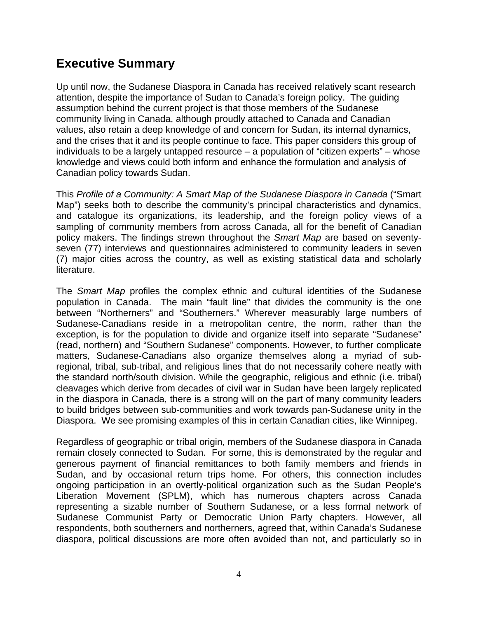# **Executive Summary**

Up until now, the Sudanese Diaspora in Canada has received relatively scant research attention, despite the importance of Sudan to Canada's foreign policy. The guiding assumption behind the current project is that those members of the Sudanese community living in Canada, although proudly attached to Canada and Canadian values, also retain a deep knowledge of and concern for Sudan, its internal dynamics, and the crises that it and its people continue to face. This paper considers this group of individuals to be a largely untapped resource – a population of "citizen experts" – whose knowledge and views could both inform and enhance the formulation and analysis of Canadian policy towards Sudan.

This *Profile of a Community: A Smart Map of the Sudanese Diaspora in Canada* ("Smart Map") seeks both to describe the community's principal characteristics and dynamics, and catalogue its organizations, its leadership, and the foreign policy views of a sampling of community members from across Canada, all for the benefit of Canadian policy makers. The findings strewn throughout the *Smart Map* are based on seventyseven (77) interviews and questionnaires administered to community leaders in seven (7) major cities across the country, as well as existing statistical data and scholarly literature.

The *Smart Map* profiles the complex ethnic and cultural identities of the Sudanese population in Canada. The main "fault line" that divides the community is the one between "Northerners" and "Southerners." Wherever measurably large numbers of Sudanese-Canadians reside in a metropolitan centre, the norm, rather than the exception, is for the population to divide and organize itself into separate "Sudanese" (read, northern) and "Southern Sudanese" components. However, to further complicate matters, Sudanese-Canadians also organize themselves along a myriad of subregional, tribal, sub-tribal, and religious lines that do not necessarily cohere neatly with the standard north/south division. While the geographic, religious and ethnic (i.e. tribal) cleavages which derive from decades of civil war in Sudan have been largely replicated in the diaspora in Canada, there is a strong will on the part of many community leaders to build bridges between sub-communities and work towards pan-Sudanese unity in the Diaspora. We see promising examples of this in certain Canadian cities, like Winnipeg.

Regardless of geographic or tribal origin, members of the Sudanese diaspora in Canada remain closely connected to Sudan. For some, this is demonstrated by the regular and generous payment of financial remittances to both family members and friends in Sudan, and by occasional return trips home. For others, this connection includes ongoing participation in an overtly-political organization such as the Sudan People's Liberation Movement (SPLM), which has numerous chapters across Canada representing a sizable number of Southern Sudanese, or a less formal network of Sudanese Communist Party or Democratic Union Party chapters. However, all respondents, both southerners and northerners, agreed that, within Canada's Sudanese diaspora, political discussions are more often avoided than not, and particularly so in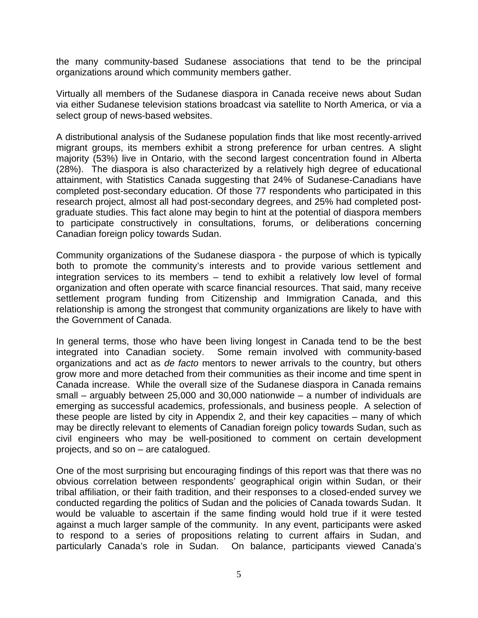the many community-based Sudanese associations that tend to be the principal organizations around which community members gather.

Virtually all members of the Sudanese diaspora in Canada receive news about Sudan via either Sudanese television stations broadcast via satellite to North America, or via a select group of news-based websites.

A distributional analysis of the Sudanese population finds that like most recently-arrived migrant groups, its members exhibit a strong preference for urban centres. A slight majority (53%) live in Ontario, with the second largest concentration found in Alberta (28%). The diaspora is also characterized by a relatively high degree of educational attainment, with Statistics Canada suggesting that 24% of Sudanese-Canadians have completed post-secondary education. Of those 77 respondents who participated in this research project, almost all had post-secondary degrees, and 25% had completed postgraduate studies. This fact alone may begin to hint at the potential of diaspora members to participate constructively in consultations, forums, or deliberations concerning Canadian foreign policy towards Sudan.

Community organizations of the Sudanese diaspora - the purpose of which is typically both to promote the community's interests and to provide various settlement and integration services to its members – tend to exhibit a relatively low level of formal organization and often operate with scarce financial resources. That said, many receive settlement program funding from Citizenship and Immigration Canada, and this relationship is among the strongest that community organizations are likely to have with the Government of Canada.

In general terms, those who have been living longest in Canada tend to be the best integrated into Canadian society. Some remain involved with community-based organizations and act as *de facto* mentors to newer arrivals to the country, but others grow more and more detached from their communities as their income and time spent in Canada increase. While the overall size of the Sudanese diaspora in Canada remains small – arguably between 25,000 and 30,000 nationwide – a number of individuals are emerging as successful academics, professionals, and business people. A selection of these people are listed by city in Appendix 2, and their key capacities – many of which may be directly relevant to elements of Canadian foreign policy towards Sudan, such as civil engineers who may be well-positioned to comment on certain development projects, and so on – are catalogued.

One of the most surprising but encouraging findings of this report was that there was no obvious correlation between respondents' geographical origin within Sudan, or their tribal affiliation, or their faith tradition, and their responses to a closed-ended survey we conducted regarding the politics of Sudan and the policies of Canada towards Sudan. It would be valuable to ascertain if the same finding would hold true if it were tested against a much larger sample of the community. In any event, participants were asked to respond to a series of propositions relating to current affairs in Sudan, and particularly Canada's role in Sudan. On balance, participants viewed Canada's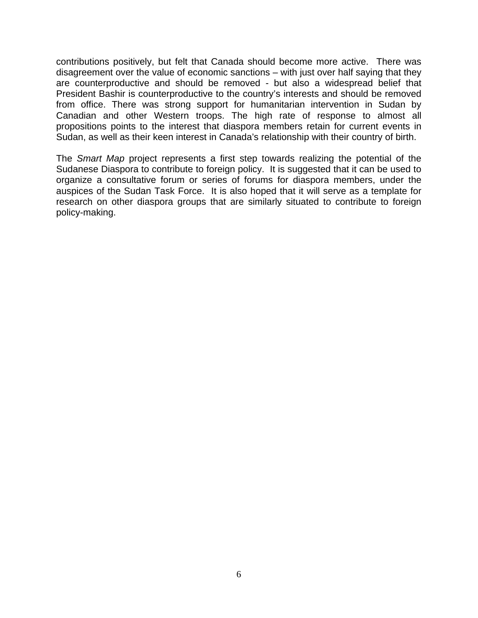contributions positively, but felt that Canada should become more active. There was disagreement over the value of economic sanctions – with just over half saying that they are counterproductive and should be removed - but also a widespread belief that President Bashir is counterproductive to the country's interests and should be removed from office. There was strong support for humanitarian intervention in Sudan by Canadian and other Western troops. The high rate of response to almost all propositions points to the interest that diaspora members retain for current events in Sudan, as well as their keen interest in Canada's relationship with their country of birth.

The *Smart Map* project represents a first step towards realizing the potential of the Sudanese Diaspora to contribute to foreign policy. It is suggested that it can be used to organize a consultative forum or series of forums for diaspora members, under the auspices of the Sudan Task Force. It is also hoped that it will serve as a template for research on other diaspora groups that are similarly situated to contribute to foreign policy-making.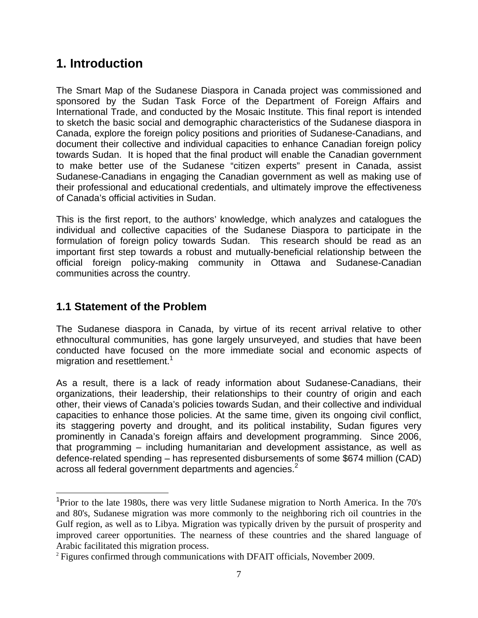# **1. Introduction**

The Smart Map of the Sudanese Diaspora in Canada project was commissioned and sponsored by the Sudan Task Force of the Department of Foreign Affairs and International Trade, and conducted by the Mosaic Institute. This final report is intended to sketch the basic social and demographic characteristics of the Sudanese diaspora in Canada, explore the foreign policy positions and priorities of Sudanese-Canadians, and document their collective and individual capacities to enhance Canadian foreign policy towards Sudan. It is hoped that the final product will enable the Canadian government to make better use of the Sudanese "citizen experts" present in Canada, assist Sudanese-Canadians in engaging the Canadian government as well as making use of their professional and educational credentials, and ultimately improve the effectiveness of Canada's official activities in Sudan.

This is the first report, to the authors' knowledge, which analyzes and catalogues the individual and collective capacities of the Sudanese Diaspora to participate in the formulation of foreign policy towards Sudan. This research should be read as an important first step towards a robust and mutually-beneficial relationship between the official foreign policy-making community in Ottawa and Sudanese-Canadian communities across the country.

# **1.1 Statement of the Problem**

 $\overline{a}$ 

The Sudanese diaspora in Canada, by virtue of its recent arrival relative to other ethnocultural communities, has gone largely unsurveyed, and studies that have been conducted have focused on the more immediate social and economic aspects of migration and resettlement.<sup>1</sup>

As a result, there is a lack of ready information about Sudanese-Canadians, their organizations, their leadership, their relationships to their country of origin and each other, their views of Canada's policies towards Sudan, and their collective and individual capacities to enhance those policies. At the same time, given its ongoing civil conflict, its staggering poverty and drought, and its political instability, Sudan figures very prominently in Canada's foreign affairs and development programming. Since 2006, that programming – including humanitarian and development assistance, as well as defence-related spending – has represented disbursements of some \$674 million (CAD) across all federal government departments and agencies. $2$ 

<sup>&</sup>lt;sup>1</sup>Prior to the late 1980s, there was very little Sudanese migration to North America. In the 70's and 80's, Sudanese migration was more commonly to the neighboring rich oil countries in the Gulf region, as well as to Libya. Migration was typically driven by the pursuit of prosperity and improved career opportunities. The nearness of these countries and the shared language of Arabic facilitated this migration process.<br><sup>2</sup> Figures confirmed through communications with DFAIT officials, November 2009.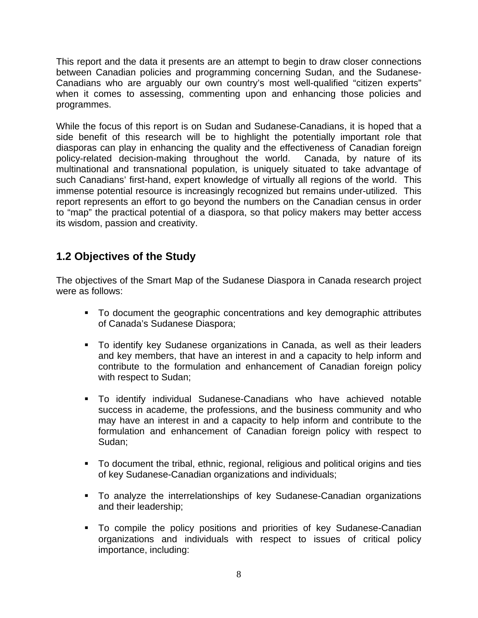This report and the data it presents are an attempt to begin to draw closer connections between Canadian policies and programming concerning Sudan, and the Sudanese-Canadians who are arguably our own country's most well-qualified "citizen experts" when it comes to assessing, commenting upon and enhancing those policies and programmes.

While the focus of this report is on Sudan and Sudanese-Canadians, it is hoped that a side benefit of this research will be to highlight the potentially important role that diasporas can play in enhancing the quality and the effectiveness of Canadian foreign policy-related decision-making throughout the world. Canada, by nature of its multinational and transnational population, is uniquely situated to take advantage of such Canadians' first-hand, expert knowledge of virtually all regions of the world. This immense potential resource is increasingly recognized but remains under-utilized. This report represents an effort to go beyond the numbers on the Canadian census in order to "map" the practical potential of a diaspora, so that policy makers may better access its wisdom, passion and creativity.

# **1.2 Objectives of the Study**

The objectives of the Smart Map of the Sudanese Diaspora in Canada research project were as follows:

- To document the geographic concentrations and key demographic attributes of Canada's Sudanese Diaspora;
- To identify key Sudanese organizations in Canada, as well as their leaders and key members, that have an interest in and a capacity to help inform and contribute to the formulation and enhancement of Canadian foreign policy with respect to Sudan;
- To identify individual Sudanese-Canadians who have achieved notable success in academe, the professions, and the business community and who may have an interest in and a capacity to help inform and contribute to the formulation and enhancement of Canadian foreign policy with respect to Sudan;
- To document the tribal, ethnic, regional, religious and political origins and ties of key Sudanese-Canadian organizations and individuals;
- To analyze the interrelationships of key Sudanese-Canadian organizations and their leadership;
- To compile the policy positions and priorities of key Sudanese-Canadian organizations and individuals with respect to issues of critical policy importance, including: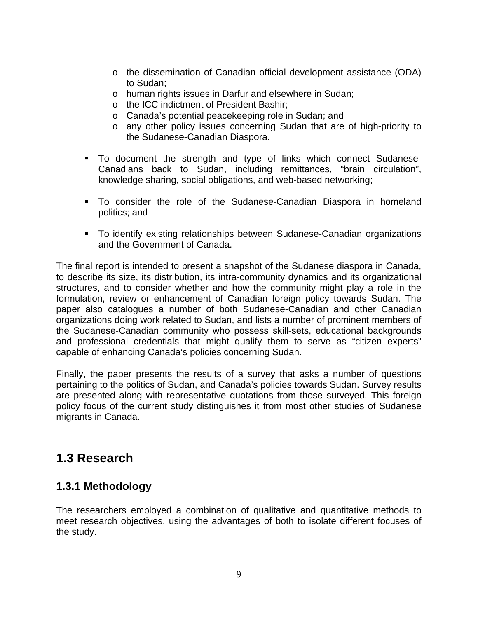- o the dissemination of Canadian official development assistance (ODA) to Sudan;
- o human rights issues in Darfur and elsewhere in Sudan;
- o the ICC indictment of President Bashir;
- o Canada's potential peacekeeping role in Sudan; and
- o any other policy issues concerning Sudan that are of high-priority to the Sudanese-Canadian Diaspora.
- To document the strength and type of links which connect Sudanese-Canadians back to Sudan, including remittances, "brain circulation", knowledge sharing, social obligations, and web-based networking;
- To consider the role of the Sudanese-Canadian Diaspora in homeland politics; and
- To identify existing relationships between Sudanese-Canadian organizations and the Government of Canada.

The final report is intended to present a snapshot of the Sudanese diaspora in Canada, to describe its size, its distribution, its intra-community dynamics and its organizational structures, and to consider whether and how the community might play a role in the formulation, review or enhancement of Canadian foreign policy towards Sudan. The paper also catalogues a number of both Sudanese-Canadian and other Canadian organizations doing work related to Sudan, and lists a number of prominent members of the Sudanese-Canadian community who possess skill-sets, educational backgrounds and professional credentials that might qualify them to serve as "citizen experts" capable of enhancing Canada's policies concerning Sudan.

Finally, the paper presents the results of a survey that asks a number of questions pertaining to the politics of Sudan, and Canada's policies towards Sudan. Survey results are presented along with representative quotations from those surveyed. This foreign policy focus of the current study distinguishes it from most other studies of Sudanese migrants in Canada.

# **1.3 Research**

# **1.3.1 Methodology**

The researchers employed a combination of qualitative and quantitative methods to meet research objectives, using the advantages of both to isolate different focuses of the study.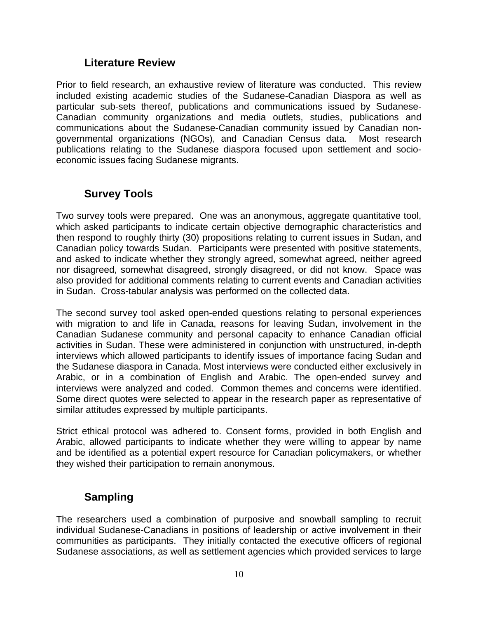## **Literature Review**

Prior to field research, an exhaustive review of literature was conducted. This review included existing academic studies of the Sudanese-Canadian Diaspora as well as particular sub-sets thereof, publications and communications issued by Sudanese-Canadian community organizations and media outlets, studies, publications and communications about the Sudanese-Canadian community issued by Canadian nongovernmental organizations (NGOs), and Canadian Census data. Most research publications relating to the Sudanese diaspora focused upon settlement and socioeconomic issues facing Sudanese migrants.

# **Survey Tools**

Two survey tools were prepared. One was an anonymous, aggregate quantitative tool, which asked participants to indicate certain objective demographic characteristics and then respond to roughly thirty (30) propositions relating to current issues in Sudan, and Canadian policy towards Sudan. Participants were presented with positive statements, and asked to indicate whether they strongly agreed, somewhat agreed, neither agreed nor disagreed, somewhat disagreed, strongly disagreed, or did not know. Space was also provided for additional comments relating to current events and Canadian activities in Sudan. Cross-tabular analysis was performed on the collected data.

The second survey tool asked open-ended questions relating to personal experiences with migration to and life in Canada, reasons for leaving Sudan, involvement in the Canadian Sudanese community and personal capacity to enhance Canadian official activities in Sudan. These were administered in conjunction with unstructured, in-depth interviews which allowed participants to identify issues of importance facing Sudan and the Sudanese diaspora in Canada. Most interviews were conducted either exclusively in Arabic, or in a combination of English and Arabic. The open-ended survey and interviews were analyzed and coded. Common themes and concerns were identified. Some direct quotes were selected to appear in the research paper as representative of similar attitudes expressed by multiple participants.

Strict ethical protocol was adhered to. Consent forms, provided in both English and Arabic, allowed participants to indicate whether they were willing to appear by name and be identified as a potential expert resource for Canadian policymakers, or whether they wished their participation to remain anonymous.

# **Sampling**

The researchers used a combination of purposive and snowball sampling to recruit individual Sudanese-Canadians in positions of leadership or active involvement in their communities as participants. They initially contacted the executive officers of regional Sudanese associations, as well as settlement agencies which provided services to large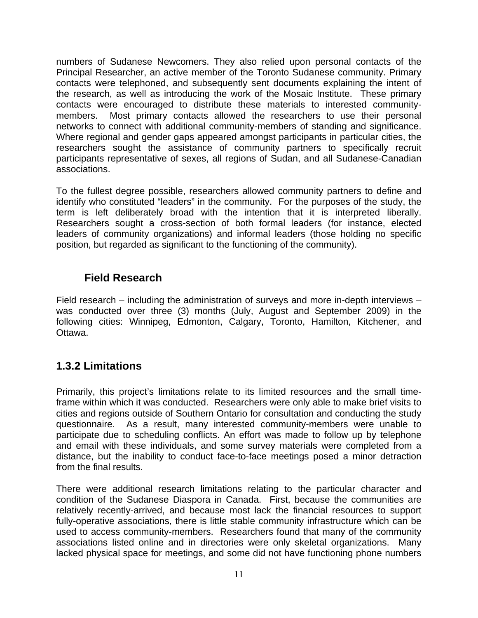numbers of Sudanese Newcomers. They also relied upon personal contacts of the Principal Researcher, an active member of the Toronto Sudanese community. Primary contacts were telephoned, and subsequently sent documents explaining the intent of the research, as well as introducing the work of the Mosaic Institute. These primary contacts were encouraged to distribute these materials to interested communitymembers. Most primary contacts allowed the researchers to use their personal networks to connect with additional community-members of standing and significance. Where regional and gender gaps appeared amongst participants in particular cities, the researchers sought the assistance of community partners to specifically recruit participants representative of sexes, all regions of Sudan, and all Sudanese-Canadian associations.

To the fullest degree possible, researchers allowed community partners to define and identify who constituted "leaders" in the community. For the purposes of the study, the term is left deliberately broad with the intention that it is interpreted liberally. Researchers sought a cross-section of both formal leaders (for instance, elected leaders of community organizations) and informal leaders (those holding no specific position, but regarded as significant to the functioning of the community).

# **Field Research**

Field research – including the administration of surveys and more in-depth interviews – was conducted over three (3) months (July, August and September 2009) in the following cities: Winnipeg, Edmonton, Calgary, Toronto, Hamilton, Kitchener, and Ottawa.

# **1.3.2 Limitations**

Primarily, this project's limitations relate to its limited resources and the small timeframe within which it was conducted. Researchers were only able to make brief visits to cities and regions outside of Southern Ontario for consultation and conducting the study questionnaire. As a result, many interested community-members were unable to participate due to scheduling conflicts. An effort was made to follow up by telephone and email with these individuals, and some survey materials were completed from a distance, but the inability to conduct face-to-face meetings posed a minor detraction from the final results.

There were additional research limitations relating to the particular character and condition of the Sudanese Diaspora in Canada. First, because the communities are relatively recently-arrived, and because most lack the financial resources to support fully-operative associations, there is little stable community infrastructure which can be used to access community-members. Researchers found that many of the community associations listed online and in directories were only skeletal organizations. Many lacked physical space for meetings, and some did not have functioning phone numbers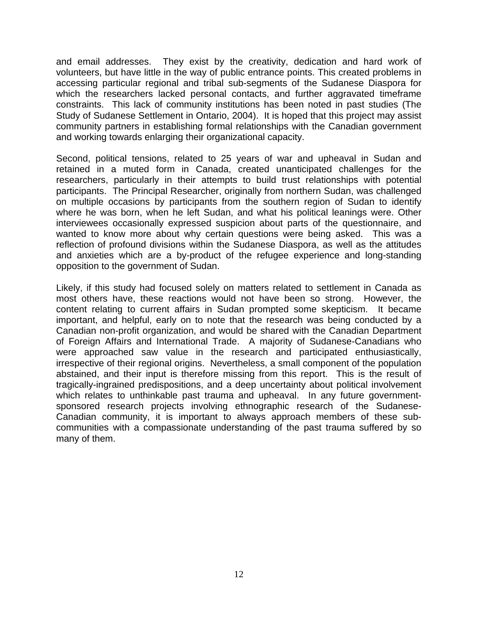and email addresses. They exist by the creativity, dedication and hard work of volunteers, but have little in the way of public entrance points. This created problems in accessing particular regional and tribal sub-segments of the Sudanese Diaspora for which the researchers lacked personal contacts, and further aggravated timeframe constraints. This lack of community institutions has been noted in past studies (The Study of Sudanese Settlement in Ontario, 2004). It is hoped that this project may assist community partners in establishing formal relationships with the Canadian government and working towards enlarging their organizational capacity.

Second, political tensions, related to 25 years of war and upheaval in Sudan and retained in a muted form in Canada, created unanticipated challenges for the researchers, particularly in their attempts to build trust relationships with potential participants. The Principal Researcher, originally from northern Sudan, was challenged on multiple occasions by participants from the southern region of Sudan to identify where he was born, when he left Sudan, and what his political leanings were. Other interviewees occasionally expressed suspicion about parts of the questionnaire, and wanted to know more about why certain questions were being asked. This was a reflection of profound divisions within the Sudanese Diaspora, as well as the attitudes and anxieties which are a by-product of the refugee experience and long-standing opposition to the government of Sudan.

Likely, if this study had focused solely on matters related to settlement in Canada as most others have, these reactions would not have been so strong. However, the content relating to current affairs in Sudan prompted some skepticism. It became important, and helpful, early on to note that the research was being conducted by a Canadian non-profit organization, and would be shared with the Canadian Department of Foreign Affairs and International Trade. A majority of Sudanese-Canadians who were approached saw value in the research and participated enthusiastically, irrespective of their regional origins. Nevertheless, a small component of the population abstained, and their input is therefore missing from this report. This is the result of tragically-ingrained predispositions, and a deep uncertainty about political involvement which relates to unthinkable past trauma and upheaval. In any future governmentsponsored research projects involving ethnographic research of the Sudanese-Canadian community, it is important to always approach members of these subcommunities with a compassionate understanding of the past trauma suffered by so many of them.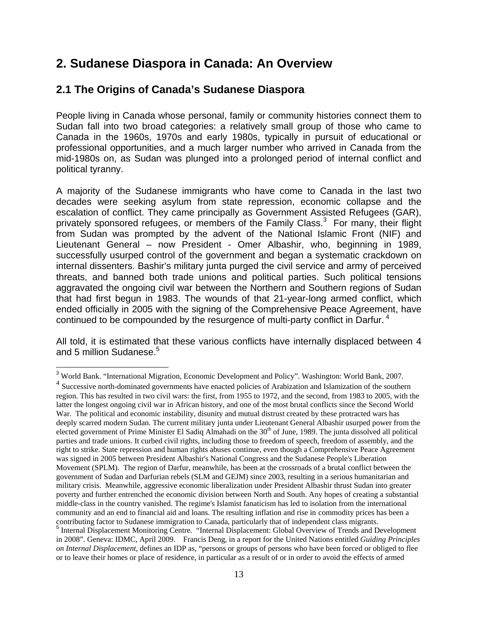# **2. Sudanese Diaspora in Canada: An Overview**

# **2.1 The Origins of Canada's Sudanese Diaspora**

People living in Canada whose personal, family or community histories connect them to Sudan fall into two broad categories: a relatively small group of those who came to Canada in the 1960s, 1970s and early 1980s, typically in pursuit of educational or professional opportunities, and a much larger number who arrived in Canada from the mid-1980s on, as Sudan was plunged into a prolonged period of internal conflict and political tyranny.

A majority of the Sudanese immigrants who have come to Canada in the last two decades were seeking asylum from state repression, economic collapse and the escalation of conflict. They came principally as Government Assisted Refugees (GAR), privately sponsored refugees, or members of the Family Class.<sup>3</sup> For many, their flight from Sudan was prompted by the advent of the National Islamic Front (NIF) and Lieutenant General – now President - Omer Albashir, who, beginning in 1989, successfully usurped control of the government and began a systematic crackdown on internal dissenters. Bashir's military junta purged the civil service and army of perceived threats, and banned both trade unions and political parties. Such political tensions aggravated the ongoing civil war between the Northern and Southern regions of Sudan that had first begun in 1983. The wounds of that 21-year-long armed conflict, which ended officially in 2005 with the signing of the Comprehensive Peace Agreement, have continued to be compounded by the resurgence of multi-party conflict in Darfur.<sup>4</sup>

All told, it is estimated that these various conflicts have internally displaced between 4 and 5 million Sudanese. $5$ 

<sup>1</sup> <sup>3</sup> World Bank. "International Migration, Economic Development and Policy". Washington: World Bank, 2007.

<sup>&</sup>lt;sup>4</sup> Successive north-dominated governments have enacted policies of Arabization and Islamization of the southern region. This has resulted in two civil wars: the first, from 1955 to 1972, and the second, from 1983 to 2005, with the latter the longest ongoing civil war in African history, and one of the most brutal conflicts since the Second World War. The political and economic instability, disunity and mutual distrust created by these protracted wars has deeply scarred modern Sudan. The current military junta under Lieutenant General Albashir usurped power from the elected government of Prime Minister El Sadiq Almahadi on the 30<sup>th</sup> of June, 1989. The junta dissolved all political parties and trade unions. It curbed civil rights, including those to freedom of speech, freedom of assembly, and the right to strike. State repression and human rights abuses continue, even though a Comprehensive Peace Agreement was signed in 2005 between President Albashir's National Congress and the Sudanese People's Liberation Movement (SPLM). The region of Darfur, meanwhile, has been at the crossroads of a brutal conflict between the government of Sudan and Darfurian rebels (SLM and GEJM) since 2003, resulting in a serious humanitarian and military crisis. Meanwhile, aggressive economic liberalization under President Albashir thrust Sudan into greater poverty and further entrenched the economic division between North and South. Any hopes of creating a substantial middle-class in the country vanished. The regime's Islamist fanaticism has led to isolation from the international community and an end to financial aid and loans. The resulting inflation and rise in commodity prices has been a contributing factor to Sudanese immigration to Canada, particularly that of independent class migrants. 5 Internal Displacement Monitoring Centre. "Internal Displacement: Global Overview of Trends and Development

in 2008". Geneva: IDMC, April 2009. Francis Deng, in a report for the United Nations entitled *Guiding Principles on Internal Displacement*, defines an IDP as, "persons or groups of persons who have been forced or obliged to flee or to leave their homes or place of residence, in particular as a result of or in order to avoid the effects of armed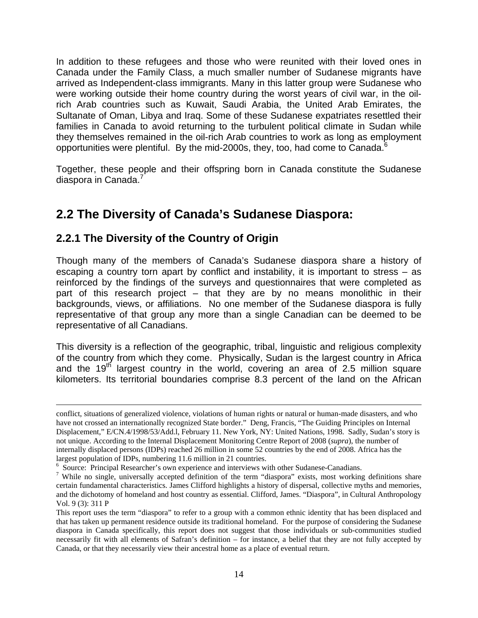In addition to these refugees and those who were reunited with their loved ones in Canada under the Family Class, a much smaller number of Sudanese migrants have arrived as Independent-class immigrants. Many in this latter group were Sudanese who were working outside their home country during the worst years of civil war, in the oilrich Arab countries such as Kuwait, Saudi Arabia, the United Arab Emirates, the Sultanate of Oman, Libya and Iraq. Some of these Sudanese expatriates resettled their families in Canada to avoid returning to the turbulent political climate in Sudan while they themselves remained in the oil-rich Arab countries to work as long as employment opportunities were plentiful. By the mid-2000s, they, too, had come to Canada.<sup>6</sup>

Together, these people and their offspring born in Canada constitute the Sudanese diaspora in Canada.<sup>7</sup>

# **2.2 The Diversity of Canada's Sudanese Diaspora:**

# **2.2.1 The Diversity of the Country of Origin**

Though many of the members of Canada's Sudanese diaspora share a history of escaping a country torn apart by conflict and instability, it is important to stress – as reinforced by the findings of the surveys and questionnaires that were completed as part of this research project – that they are by no means monolithic in their backgrounds, views, or affiliations. No one member of the Sudanese diaspora is fully representative of that group any more than a single Canadian can be deemed to be representative of all Canadians.

This diversity is a reflection of the geographic, tribal, linguistic and religious complexity of the country from which they come. Physically, Sudan is the largest country in Africa and the  $19<sup>th</sup>$  largest country in the world, covering an area of 2.5 million square kilometers. Its territorial boundaries comprise 8.3 percent of the land on the African

conflict, situations of generalized violence, violations of human rights or natural or human-made disasters, and who have not crossed an internationally recognized State border." Deng, Francis, "The Guiding Principles on Internal Displacement," E/CN.4/1998/53/Add.l, February 11. New York, NY: United Nations, 1998. Sadly, Sudan's story is not unique. According to the Internal Displacement Monitoring Centre Report of 2008 (*supra*), the number of internally displaced persons (IDPs) reached 26 million in some 52 countries by the end of 2008. Africa has the largest population of IDPs, numbering 11.6 million in 21 countries.

<sup>&</sup>lt;sup>6</sup> Source: Principal Researcher's own experience and interviews with other Sudanese-Canadians.

<sup>&</sup>lt;sup>7</sup> While no single, universally accepted definition of the term "diaspora" exists, most working definitions share certain fundamental characteristics. James Clifford highlights a history of dispersal, collective myths and memories, and the dichotomy of homeland and host country as essential. Clifford, James. "Diaspora", in Cultural Anthropology Vol. 9 (3): 311 P

This report uses the term "diaspora" to refer to a group with a common ethnic identity that has been displaced and that has taken up permanent residence outside its traditional homeland. For the purpose of considering the Sudanese diaspora in Canada specifically, this report does not suggest that those individuals or sub-communities studied necessarily fit with all elements of Safran's definition – for instance, a belief that they are not fully accepted by Canada, or that they necessarily view their ancestral home as a place of eventual return.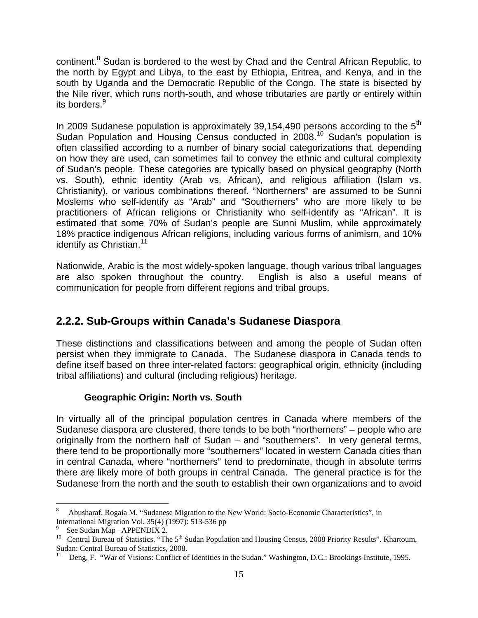continent.<sup>8</sup> Sudan is bordered to the west by Chad and the Central African Republic, to the north by Egypt and Libya, to the east by Ethiopia, Eritrea, and Kenya, and in the south by Uganda and the Democratic Republic of the Congo. The state is bisected by the Nile river, which runs north-south, and whose tributaries are partly or entirely within its borders.<sup>9</sup>

In 2009 Sudanese population is approximately 39,154,490 persons according to the  $5<sup>th</sup>$ Sudan Population and Housing Census conducted in 2008.<sup>10</sup> Sudan's population is often classified according to a number of binary social categorizations that, depending on how they are used, can sometimes fail to convey the ethnic and cultural complexity of Sudan's people. These categories are typically based on physical geography (North vs. South), ethnic identity (Arab vs. African), and religious affiliation (Islam vs. Christianity), or various combinations thereof. "Northerners" are assumed to be Sunni Moslems who self-identify as "Arab" and "Southerners" who are more likely to be practitioners of African religions or Christianity who self-identify as "African". It is estimated that some 70% of Sudan's people are Sunni Muslim, while approximately 18% practice indigenous African religions, including various forms of animism, and 10% identify as Christian.<sup>11</sup>

Nationwide, Arabic is the most widely-spoken language, though various tribal languages are also spoken throughout the country. English is also a useful means of communication for people from different regions and tribal groups.

# **2.2.2. Sub-Groups within Canada's Sudanese Diaspora**

These distinctions and classifications between and among the people of Sudan often persist when they immigrate to Canada. The Sudanese diaspora in Canada tends to define itself based on three inter-related factors: geographical origin, ethnicity (including tribal affiliations) and cultural (including religious) heritage.

### **Geographic Origin: North vs. South**

In virtually all of the principal population centres in Canada where members of the Sudanese diaspora are clustered, there tends to be both "northerners" – people who are originally from the northern half of Sudan – and "southerners". In very general terms, there tend to be proportionally more "southerners" located in western Canada cities than in central Canada, where "northerners" tend to predominate, though in absolute terms there are likely more of both groups in central Canada. The general practice is for the Sudanese from the north and the south to establish their own organizations and to avoid

 $\overline{a}$ 8 Abusharaf, Rogaia M. "Sudanese Migration to the New World: Socio-Economic Characteristics", in International Migration Vol. 35(4) (1997): 513-536 pp

<sup>9</sup> See Sudan Map –APPENDIX 2.

<sup>&</sup>lt;sup>10</sup> Central Bureau of Statistics. "The 5<sup>th</sup> Sudan Population and Housing Census, 2008 Priority Results". Khartoum, Sudan: Central Bureau of Statistics, 2008.

<sup>11</sup> Deng, F. "War of Visions: Conflict of Identities in the Sudan." Washington, D.C.: Brookings Institute, 1995.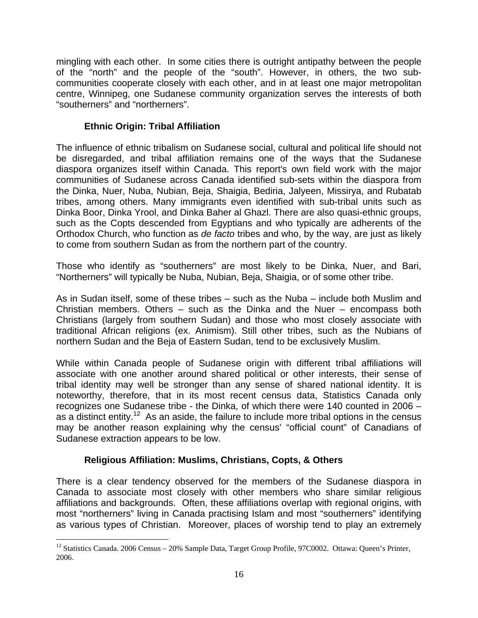mingling with each other. In some cities there is outright antipathy between the people of the "north" and the people of the "south". However, in others, the two subcommunities cooperate closely with each other, and in at least one major metropolitan centre, Winnipeg, one Sudanese community organization serves the interests of both "southerners" and "northerners".

### **Ethnic Origin: Tribal Affiliation**

The influence of ethnic tribalism on Sudanese social, cultural and political life should not be disregarded, and tribal affiliation remains one of the ways that the Sudanese diaspora organizes itself within Canada. This report's own field work with the major communities of Sudanese across Canada identified sub-sets within the diaspora from the Dinka, Nuer, Nuba, Nubian, Beja, Shaigia, Bediria, Jalyeen, Missirya, and Rubatab tribes, among others. Many immigrants even identified with sub-tribal units such as Dinka Boor, Dinka Yrool, and Dinka Baher al Ghazl. There are also quasi-ethnic groups, such as the Copts descended from Egyptians and who typically are adherents of the Orthodox Church, who function as *de facto* tribes and who, by the way, are just as likely to come from southern Sudan as from the northern part of the country.

Those who identify as "southerners" are most likely to be Dinka, Nuer, and Bari, "Northerners" will typically be Nuba, Nubian, Beja, Shaigia, or of some other tribe.

As in Sudan itself, some of these tribes – such as the Nuba – include both Muslim and Christian members. Others – such as the Dinka and the Nuer – encompass both Christians (largely from southern Sudan) and those who most closely associate with traditional African religions (ex. Animism). Still other tribes, such as the Nubians of northern Sudan and the Beja of Eastern Sudan, tend to be exclusively Muslim.

While within Canada people of Sudanese origin with different tribal affiliations will associate with one another around shared political or other interests, their sense of tribal identity may well be stronger than any sense of shared national identity. It is noteworthy, therefore, that in its most recent census data, Statistics Canada only recognizes one Sudanese tribe - the Dinka, of which there were 140 counted in 2006 – as a distinct entity.<sup>12</sup> As an aside, the failure to include more tribal options in the census may be another reason explaining why the census' "official count" of Canadians of Sudanese extraction appears to be low.

### **Religious Affiliation: Muslims, Christians, Copts, & Others**

 $\overline{a}$ 

There is a clear tendency observed for the members of the Sudanese diaspora in Canada to associate most closely with other members who share similar religious affiliations and backgrounds. Often, these affiliations overlap with regional origins, with most "northerners" living in Canada practising Islam and most "southerners" identifying as various types of Christian. Moreover, places of worship tend to play an extremely

<sup>&</sup>lt;sup>12</sup> Statistics Canada. 2006 Census – 20% Sample Data, Target Group Profile, 97C0002. Ottawa: Queen's Printer, 2006.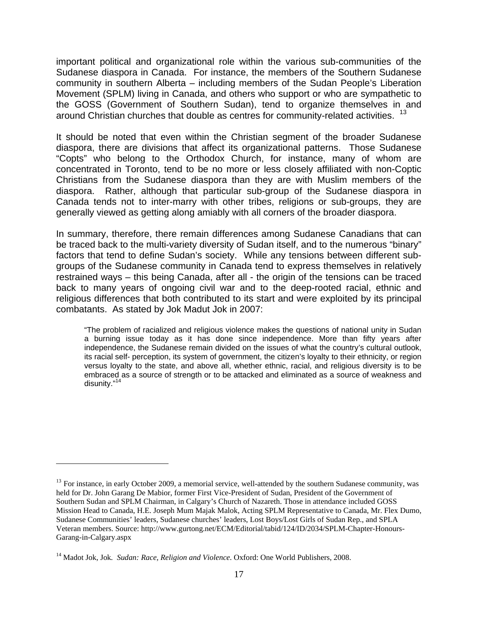important political and organizational role within the various sub-communities of the Sudanese diaspora in Canada. For instance, the members of the Southern Sudanese community in southern Alberta – including members of the Sudan People's Liberation Movement (SPLM) living in Canada, and others who support or who are sympathetic to the GOSS (Government of Southern Sudan), tend to organize themselves in and around Christian churches that double as centres for community-related activities. <sup>13</sup>

It should be noted that even within the Christian segment of the broader Sudanese diaspora, there are divisions that affect its organizational patterns. Those Sudanese "Copts" who belong to the Orthodox Church, for instance, many of whom are concentrated in Toronto, tend to be no more or less closely affiliated with non-Coptic Christians from the Sudanese diaspora than they are with Muslim members of the diaspora. Rather, although that particular sub-group of the Sudanese diaspora in Canada tends not to inter-marry with other tribes, religions or sub-groups, they are generally viewed as getting along amiably with all corners of the broader diaspora.

In summary, therefore, there remain differences among Sudanese Canadians that can be traced back to the multi-variety diversity of Sudan itself, and to the numerous "binary" factors that tend to define Sudan's society. While any tensions between different subgroups of the Sudanese community in Canada tend to express themselves in relatively restrained ways – this being Canada, after all - the origin of the tensions can be traced back to many years of ongoing civil war and to the deep-rooted racial, ethnic and religious differences that both contributed to its start and were exploited by its principal combatants. As stated by Jok Madut Jok in 2007:

"The problem of racialized and religious violence makes the questions of national unity in Sudan a burning issue today as it has done since independence. More than fifty years after independence, the Sudanese remain divided on the issues of what the country's cultural outlook, its racial self- perception, its system of government, the citizen's loyalty to their ethnicity, or region versus loyalty to the state, and above all, whether ethnic, racial, and religious diversity is to be embraced as a source of strength or to be attacked and eliminated as a source of weakness and disunity."<sup>14</sup>

 $\overline{a}$ 

 $13$  For instance, in early October 2009, a memorial service, well-attended by the southern Sudanese community, was held for Dr. John Garang De Mabior, former First Vice-President of Sudan, President of the Government of Southern Sudan and SPLM Chairman, in Calgary's Church of Nazareth. Those in attendance included GOSS Mission Head to Canada, H.E. Joseph Mum Majak Malok, Acting SPLM Representative to Canada, Mr. Flex Dumo, Sudanese Communities' leaders, Sudanese churches' leaders, Lost Boys/Lost Girls of Sudan Rep., and SPLA Veteran members. Source: http://www.gurtong.net/ECM/Editorial/tabid/124/ID/2034/SPLM-Chapter-Honours-Garang-in-Calgary.aspx

<sup>14</sup> Madot Jok, Jok*. Sudan: Race, Religion and Violence*. Oxford: One World Publishers, 2008.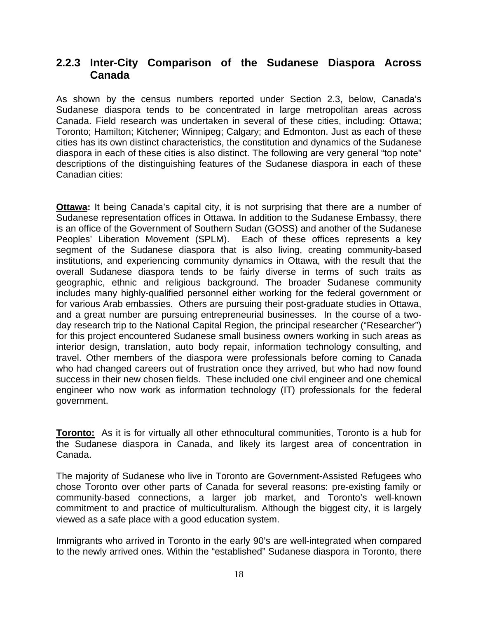# **2.2.3 Inter-City Comparison of the Sudanese Diaspora Across Canada**

As shown by the census numbers reported under Section 2.3, below, Canada's Sudanese diaspora tends to be concentrated in large metropolitan areas across Canada. Field research was undertaken in several of these cities, including: Ottawa; Toronto; Hamilton; Kitchener; Winnipeg; Calgary; and Edmonton. Just as each of these cities has its own distinct characteristics, the constitution and dynamics of the Sudanese diaspora in each of these cities is also distinct. The following are very general "top note" descriptions of the distinguishing features of the Sudanese diaspora in each of these Canadian cities:

**Ottawa:** It being Canada's capital city, it is not surprising that there are a number of Sudanese representation offices in Ottawa. In addition to the Sudanese Embassy, there is an office of the Government of Southern Sudan (GOSS) and another of the Sudanese Peoples' Liberation Movement (SPLM). Each of these offices represents a key segment of the Sudanese diaspora that is also living, creating community-based institutions, and experiencing community dynamics in Ottawa, with the result that the overall Sudanese diaspora tends to be fairly diverse in terms of such traits as geographic, ethnic and religious background. The broader Sudanese community includes many highly-qualified personnel either working for the federal government or for various Arab embassies. Others are pursuing their post-graduate studies in Ottawa, and a great number are pursuing entrepreneurial businesses. In the course of a twoday research trip to the National Capital Region, the principal researcher ("Researcher") for this project encountered Sudanese small business owners working in such areas as interior design, translation, auto body repair, information technology consulting, and travel. Other members of the diaspora were professionals before coming to Canada who had changed careers out of frustration once they arrived, but who had now found success in their new chosen fields. These included one civil engineer and one chemical engineer who now work as information technology (IT) professionals for the federal government.

**Toronto:** As it is for virtually all other ethnocultural communities, Toronto is a hub for the Sudanese diaspora in Canada, and likely its largest area of concentration in Canada.

The majority of Sudanese who live in Toronto are Government-Assisted Refugees who chose Toronto over other parts of Canada for several reasons: pre-existing family or community-based connections, a larger job market, and Toronto's well-known commitment to and practice of multiculturalism. Although the biggest city, it is largely viewed as a safe place with a good education system.

Immigrants who arrived in Toronto in the early 90's are well-integrated when compared to the newly arrived ones. Within the "established" Sudanese diaspora in Toronto, there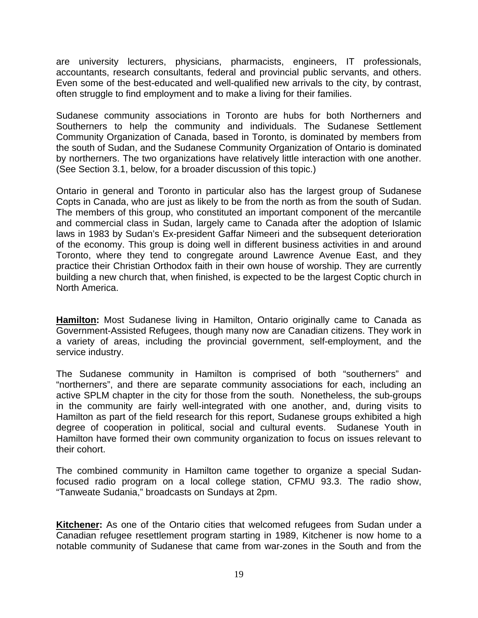are university lecturers, physicians, pharmacists, engineers, IT professionals, accountants, research consultants, federal and provincial public servants, and others. Even some of the best-educated and well-qualified new arrivals to the city, by contrast, often struggle to find employment and to make a living for their families.

Sudanese community associations in Toronto are hubs for both Northerners and Southerners to help the community and individuals. The Sudanese Settlement Community Organization of Canada, based in Toronto, is dominated by members from the south of Sudan, and the Sudanese Community Organization of Ontario is dominated by northerners. The two organizations have relatively little interaction with one another. (See Section 3.1, below, for a broader discussion of this topic.)

Ontario in general and Toronto in particular also has the largest group of Sudanese Copts in Canada, who are just as likely to be from the north as from the south of Sudan. The members of this group, who constituted an important component of the mercantile and commercial class in Sudan, largely came to Canada after the adoption of Islamic laws in 1983 by Sudan's Ex-president Gaffar Nimeeri and the subsequent deterioration of the economy. This group is doing well in different business activities in and around Toronto, where they tend to congregate around Lawrence Avenue East, and they practice their Christian Orthodox faith in their own house of worship. They are currently building a new church that, when finished, is expected to be the largest Coptic church in North America.

**Hamilton:** Most Sudanese living in Hamilton, Ontario originally came to Canada as Government-Assisted Refugees, though many now are Canadian citizens. They work in a variety of areas, including the provincial government, self-employment, and the service industry.

The Sudanese community in Hamilton is comprised of both "southerners" and "northerners", and there are separate community associations for each, including an active SPLM chapter in the city for those from the south. Nonetheless, the sub-groups in the community are fairly well-integrated with one another, and, during visits to Hamilton as part of the field research for this report, Sudanese groups exhibited a high degree of cooperation in political, social and cultural events. Sudanese Youth in Hamilton have formed their own community organization to focus on issues relevant to their cohort.

The combined community in Hamilton came together to organize a special Sudanfocused radio program on a local college station, CFMU 93.3. The radio show, "Tanweate Sudania," broadcasts on Sundays at 2pm.

**Kitchener:** As one of the Ontario cities that welcomed refugees from Sudan under a Canadian refugee resettlement program starting in 1989, Kitchener is now home to a notable community of Sudanese that came from war-zones in the South and from the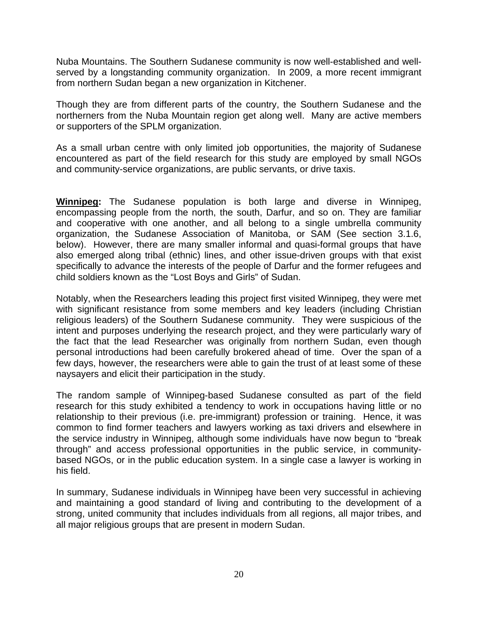Nuba Mountains. The Southern Sudanese community is now well-established and wellserved by a longstanding community organization. In 2009, a more recent immigrant from northern Sudan began a new organization in Kitchener.

Though they are from different parts of the country, the Southern Sudanese and the northerners from the Nuba Mountain region get along well. Many are active members or supporters of the SPLM organization.

As a small urban centre with only limited job opportunities, the majority of Sudanese encountered as part of the field research for this study are employed by small NGOs and community-service organizations, are public servants, or drive taxis.

**Winnipeg:** The Sudanese population is both large and diverse in Winnipeg, encompassing people from the north, the south, Darfur, and so on. They are familiar and cooperative with one another, and all belong to a single umbrella community organization, the Sudanese Association of Manitoba, or SAM (See section 3.1.6, below). However, there are many smaller informal and quasi-formal groups that have also emerged along tribal (ethnic) lines, and other issue-driven groups with that exist specifically to advance the interests of the people of Darfur and the former refugees and child soldiers known as the "Lost Boys and Girls" of Sudan.

Notably, when the Researchers leading this project first visited Winnipeg, they were met with significant resistance from some members and key leaders (including Christian religious leaders) of the Southern Sudanese community. They were suspicious of the intent and purposes underlying the research project, and they were particularly wary of the fact that the lead Researcher was originally from northern Sudan, even though personal introductions had been carefully brokered ahead of time. Over the span of a few days, however, the researchers were able to gain the trust of at least some of these naysayers and elicit their participation in the study.

The random sample of Winnipeg-based Sudanese consulted as part of the field research for this study exhibited a tendency to work in occupations having little or no relationship to their previous (i.e. pre-immigrant) profession or training. Hence, it was common to find former teachers and lawyers working as taxi drivers and elsewhere in the service industry in Winnipeg, although some individuals have now begun to "break through" and access professional opportunities in the public service, in communitybased NGOs, or in the public education system. In a single case a lawyer is working in his field.

In summary, Sudanese individuals in Winnipeg have been very successful in achieving and maintaining a good standard of living and contributing to the development of a strong, united community that includes individuals from all regions, all major tribes, and all major religious groups that are present in modern Sudan.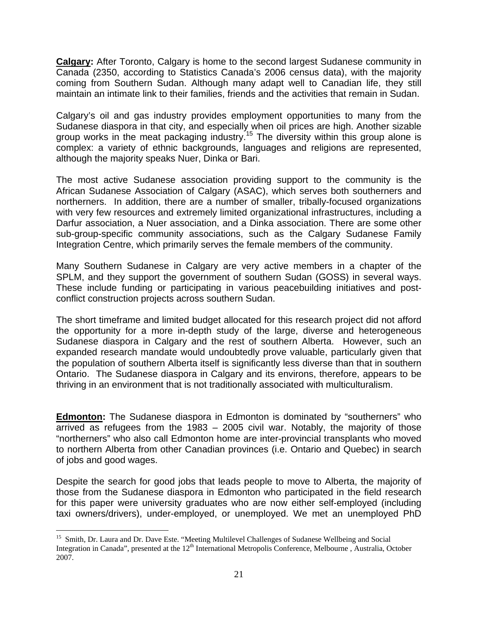**Calgary:** After Toronto, Calgary is home to the second largest Sudanese community in Canada (2350, according to Statistics Canada's 2006 census data), with the majority coming from Southern Sudan. Although many adapt well to Canadian life, they still maintain an intimate link to their families, friends and the activities that remain in Sudan.

Calgary's oil and gas industry provides employment opportunities to many from the Sudanese diaspora in that city, and especially when oil prices are high. Another sizable group works in the meat packaging industry.<sup>15</sup> The diversity within this group alone is complex: a variety of ethnic backgrounds, languages and religions are represented, although the majority speaks Nuer, Dinka or Bari.

The most active Sudanese association providing support to the community is the African Sudanese Association of Calgary (ASAC), which serves both southerners and northerners. In addition, there are a number of smaller, tribally-focused organizations with very few resources and extremely limited organizational infrastructures, including a Darfur association, a Nuer association, and a Dinka association. There are some other sub-group-specific community associations, such as the Calgary Sudanese Family Integration Centre, which primarily serves the female members of the community.

Many Southern Sudanese in Calgary are very active members in a chapter of the SPLM, and they support the government of southern Sudan (GOSS) in several ways. These include funding or participating in various peacebuilding initiatives and postconflict construction projects across southern Sudan.

The short timeframe and limited budget allocated for this research project did not afford the opportunity for a more in-depth study of the large, diverse and heterogeneous Sudanese diaspora in Calgary and the rest of southern Alberta. However, such an expanded research mandate would undoubtedly prove valuable, particularly given that the population of southern Alberta itself is significantly less diverse than that in southern Ontario. The Sudanese diaspora in Calgary and its environs, therefore, appears to be thriving in an environment that is not traditionally associated with multiculturalism.

**Edmonton:** The Sudanese diaspora in Edmonton is dominated by "southerners" who arrived as refugees from the 1983 – 2005 civil war. Notably, the majority of those "northerners" who also call Edmonton home are inter-provincial transplants who moved to northern Alberta from other Canadian provinces (i.e. Ontario and Quebec) in search of jobs and good wages.

Despite the search for good jobs that leads people to move to Alberta, the majority of those from the Sudanese diaspora in Edmonton who participated in the field research for this paper were university graduates who are now either self-employed (including taxi owners/drivers), under-employed, or unemployed. We met an unemployed PhD

 $\overline{a}$ 

<sup>&</sup>lt;sup>15</sup> Smith, Dr. Laura and Dr. Dave Este. "Meeting Multilevel Challenges of Sudanese Wellbeing and Social Integration in Canada", presented at the 12<sup>th</sup> International Metropolis Conference, Melbourne , Australia, October 2007.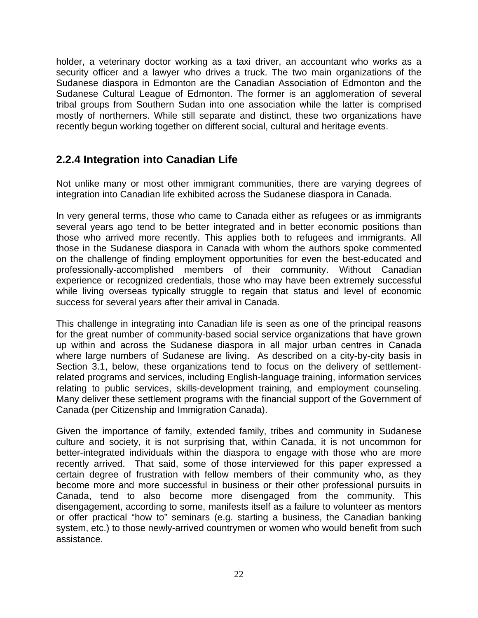holder, a veterinary doctor working as a taxi driver, an accountant who works as a security officer and a lawyer who drives a truck. The two main organizations of the Sudanese diaspora in Edmonton are the Canadian Association of Edmonton and the Sudanese Cultural League of Edmonton. The former is an agglomeration of several tribal groups from Southern Sudan into one association while the latter is comprised mostly of northerners. While still separate and distinct, these two organizations have recently begun working together on different social, cultural and heritage events.

# **2.2.4 Integration into Canadian Life**

Not unlike many or most other immigrant communities, there are varying degrees of integration into Canadian life exhibited across the Sudanese diaspora in Canada.

In very general terms, those who came to Canada either as refugees or as immigrants several years ago tend to be better integrated and in better economic positions than those who arrived more recently. This applies both to refugees and immigrants. All those in the Sudanese diaspora in Canada with whom the authors spoke commented on the challenge of finding employment opportunities for even the best-educated and professionally-accomplished members of their community. Without Canadian experience or recognized credentials, those who may have been extremely successful while living overseas typically struggle to regain that status and level of economic success for several years after their arrival in Canada.

This challenge in integrating into Canadian life is seen as one of the principal reasons for the great number of community-based social service organizations that have grown up within and across the Sudanese diaspora in all major urban centres in Canada where large numbers of Sudanese are living. As described on a city-by-city basis in Section 3.1, below, these organizations tend to focus on the delivery of settlementrelated programs and services, including English-language training, information services relating to public services, skills-development training, and employment counseling. Many deliver these settlement programs with the financial support of the Government of Canada (per Citizenship and Immigration Canada).

Given the importance of family, extended family, tribes and community in Sudanese culture and society, it is not surprising that, within Canada, it is not uncommon for better-integrated individuals within the diaspora to engage with those who are more recently arrived. That said, some of those interviewed for this paper expressed a certain degree of frustration with fellow members of their community who, as they become more and more successful in business or their other professional pursuits in Canada, tend to also become more disengaged from the community. This disengagement, according to some, manifests itself as a failure to volunteer as mentors or offer practical "how to" seminars (e.g. starting a business, the Canadian banking system, etc.) to those newly-arrived countrymen or women who would benefit from such assistance.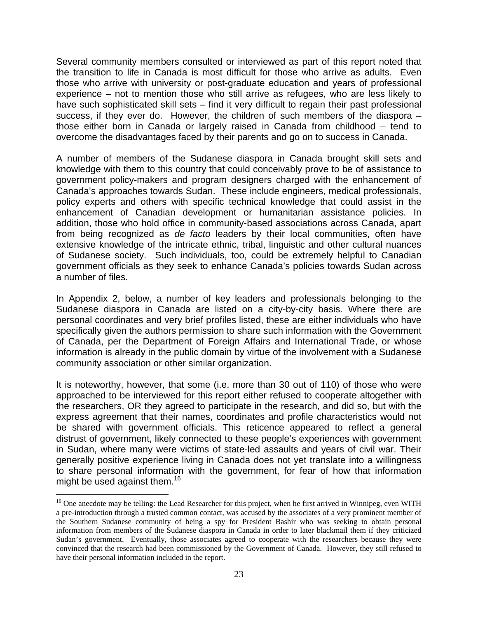Several community members consulted or interviewed as part of this report noted that the transition to life in Canada is most difficult for those who arrive as adults. Even those who arrive with university or post-graduate education and years of professional experience – not to mention those who still arrive as refugees, who are less likely to have such sophisticated skill sets – find it very difficult to regain their past professional success, if they ever do. However, the children of such members of the diaspora – those either born in Canada or largely raised in Canada from childhood – tend to overcome the disadvantages faced by their parents and go on to success in Canada.

A number of members of the Sudanese diaspora in Canada brought skill sets and knowledge with them to this country that could conceivably prove to be of assistance to government policy-makers and program designers charged with the enhancement of Canada's approaches towards Sudan. These include engineers, medical professionals, policy experts and others with specific technical knowledge that could assist in the enhancement of Canadian development or humanitarian assistance policies. In addition, those who hold office in community-based associations across Canada, apart from being recognized as *de facto* leaders by their local communities, often have extensive knowledge of the intricate ethnic, tribal, linguistic and other cultural nuances of Sudanese society. Such individuals, too, could be extremely helpful to Canadian government officials as they seek to enhance Canada's policies towards Sudan across a number of files.

In Appendix 2, below, a number of key leaders and professionals belonging to the Sudanese diaspora in Canada are listed on a city-by-city basis. Where there are personal coordinates and very brief profiles listed, these are either individuals who have specifically given the authors permission to share such information with the Government of Canada, per the Department of Foreign Affairs and International Trade, or whose information is already in the public domain by virtue of the involvement with a Sudanese community association or other similar organization.

It is noteworthy, however, that some (i.e. more than 30 out of 110) of those who were approached to be interviewed for this report either refused to cooperate altogether with the researchers, OR they agreed to participate in the research, and did so, but with the express agreement that their names, coordinates and profile characteristics would not be shared with government officials. This reticence appeared to reflect a general distrust of government, likely connected to these people's experiences with government in Sudan, where many were victims of state-led assaults and years of civil war. Their generally positive experience living in Canada does not yet translate into a willingness to share personal information with the government, for fear of how that information might be used against them.<sup>16</sup>

 $\overline{a}$ 

<sup>&</sup>lt;sup>16</sup> One anecdote may be telling: the Lead Researcher for this project, when he first arrived in Winnipeg, even WITH a pre-introduction through a trusted common contact, was accused by the associates of a very prominent member of the Southern Sudanese community of being a spy for President Bashir who was seeking to obtain personal information from members of the Sudanese diaspora in Canada in order to later blackmail them if they criticized Sudan's government. Eventually, those associates agreed to cooperate with the researchers because they were convinced that the research had been commissioned by the Government of Canada. However, they still refused to have their personal information included in the report.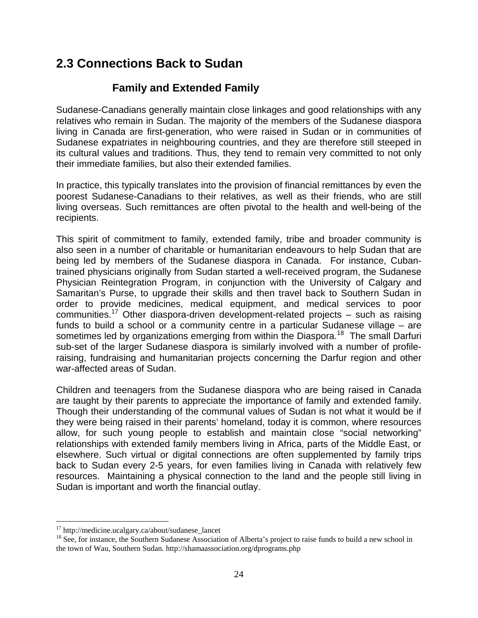# **2.3 Connections Back to Sudan**

# **Family and Extended Family**

Sudanese-Canadians generally maintain close linkages and good relationships with any relatives who remain in Sudan. The majority of the members of the Sudanese diaspora living in Canada are first-generation, who were raised in Sudan or in communities of Sudanese expatriates in neighbouring countries, and they are therefore still steeped in its cultural values and traditions. Thus, they tend to remain very committed to not only their immediate families, but also their extended families.

In practice, this typically translates into the provision of financial remittances by even the poorest Sudanese-Canadians to their relatives, as well as their friends, who are still living overseas. Such remittances are often pivotal to the health and well-being of the recipients.

This spirit of commitment to family, extended family, tribe and broader community is also seen in a number of charitable or humanitarian endeavours to help Sudan that are being led by members of the Sudanese diaspora in Canada. For instance, Cubantrained physicians originally from Sudan started a well-received program, the Sudanese Physician Reintegration Program, in conjunction with the University of Calgary and Samaritan's Purse, to upgrade their skills and then travel back to Southern Sudan in order to provide medicines, medical equipment, and medical services to poor communities.<sup>17</sup> Other diaspora-driven development-related projects – such as raising funds to build a school or a community centre in a particular Sudanese village – are sometimes led by organizations emerging from within the Diaspora.<sup>18</sup> The small Darfuri sub-set of the larger Sudanese diaspora is similarly involved with a number of profileraising, fundraising and humanitarian projects concerning the Darfur region and other war-affected areas of Sudan.

Children and teenagers from the Sudanese diaspora who are being raised in Canada are taught by their parents to appreciate the importance of family and extended family. Though their understanding of the communal values of Sudan is not what it would be if they were being raised in their parents' homeland, today it is common, where resources allow, for such young people to establish and maintain close "social networking" relationships with extended family members living in Africa, parts of the Middle East, or elsewhere. Such virtual or digital connections are often supplemented by family trips back to Sudan every 2-5 years, for even families living in Canada with relatively few resources. Maintaining a physical connection to the land and the people still living in Sudan is important and worth the financial outlay.

 $\overline{a}$ 

<sup>&</sup>lt;sup>17</sup> http://medicine.ucalgary.ca/about/sudanese\_lancet

<sup>&</sup>lt;sup>18</sup> See, for instance, the Southern Sudanese Association of Alberta's project to raise funds to build a new school in the town of Wau, Southern Sudan. http://shamaassociation.org/dprograms.php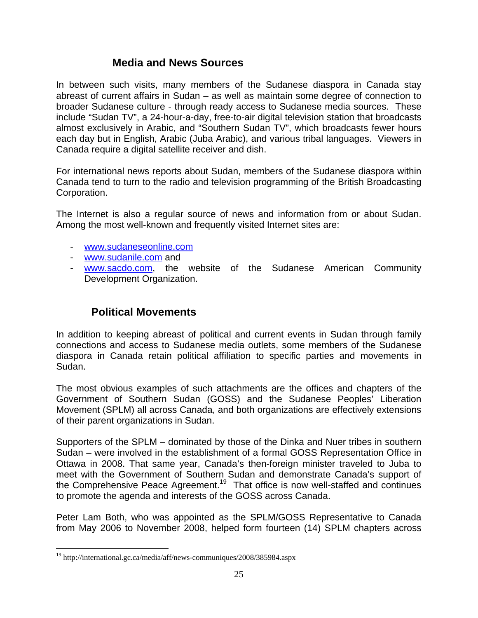## **Media and News Sources**

In between such visits, many members of the Sudanese diaspora in Canada stay abreast of current affairs in Sudan – as well as maintain some degree of connection to broader Sudanese culture - through ready access to Sudanese media sources. These include "Sudan TV", a 24-hour-a-day, free-to-air digital television station that broadcasts almost exclusively in Arabic, and "Southern Sudan TV", which broadcasts fewer hours each day but in English, Arabic (Juba Arabic), and various tribal languages. Viewers in Canada require a digital satellite receiver and dish.

For international news reports about Sudan, members of the Sudanese diaspora within Canada tend to turn to the radio and television programming of the British Broadcasting Corporation.

The Internet is also a regular source of news and information from or about Sudan. Among the most well-known and frequently visited Internet sites are:

- www.sudaneseonline.com
- www.sudanile.com and
- www.sacdo.com, the website of the Sudanese American Community Development Organization.

# **Political Movements**

In addition to keeping abreast of political and current events in Sudan through family connections and access to Sudanese media outlets, some members of the Sudanese diaspora in Canada retain political affiliation to specific parties and movements in Sudan.

The most obvious examples of such attachments are the offices and chapters of the Government of Southern Sudan (GOSS) and the Sudanese Peoples' Liberation Movement (SPLM) all across Canada, and both organizations are effectively extensions of their parent organizations in Sudan.

Supporters of the SPLM – dominated by those of the Dinka and Nuer tribes in southern Sudan – were involved in the establishment of a formal GOSS Representation Office in Ottawa in 2008. That same year, Canada's then-foreign minister traveled to Juba to meet with the Government of Southern Sudan and demonstrate Canada's support of the Comprehensive Peace Agreement.<sup>19</sup> That office is now well-staffed and continues to promote the agenda and interests of the GOSS across Canada.

Peter Lam Both, who was appointed as the SPLM/GOSS Representative to Canada from May 2006 to November 2008, helped form fourteen (14) SPLM chapters across

<u>.</u>

<sup>&</sup>lt;sup>19</sup> http://international.gc.ca/media/aff/news-communiques/2008/385984.aspx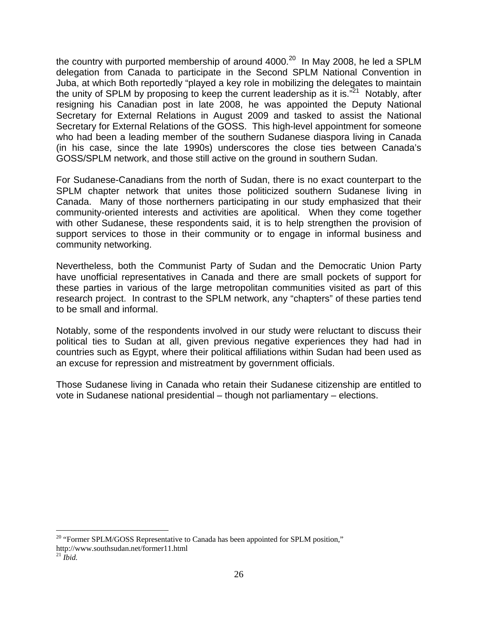the country with purported membership of around  $4000.<sup>20</sup>$  In May 2008, he led a SPLM delegation from Canada to participate in the Second SPLM National Convention in Juba, at which Both reportedly "played a key role in mobilizing the delegates to maintain the unity of SPLM by proposing to keep the current leadership as it is. $"^{21}$  Notably, after resigning his Canadian post in late 2008, he was appointed the Deputy National Secretary for External Relations in August 2009 and tasked to assist the National Secretary for External Relations of the GOSS. This high-level appointment for someone who had been a leading member of the southern Sudanese diaspora living in Canada (in his case, since the late 1990s) underscores the close ties between Canada's GOSS/SPLM network, and those still active on the ground in southern Sudan.

For Sudanese-Canadians from the north of Sudan, there is no exact counterpart to the SPLM chapter network that unites those politicized southern Sudanese living in Canada. Many of those northerners participating in our study emphasized that their community-oriented interests and activities are apolitical. When they come together with other Sudanese, these respondents said, it is to help strengthen the provision of support services to those in their community or to engage in informal business and community networking.

Nevertheless, both the Communist Party of Sudan and the Democratic Union Party have unofficial representatives in Canada and there are small pockets of support for these parties in various of the large metropolitan communities visited as part of this research project. In contrast to the SPLM network, any "chapters" of these parties tend to be small and informal.

Notably, some of the respondents involved in our study were reluctant to discuss their political ties to Sudan at all, given previous negative experiences they had had in countries such as Egypt, where their political affiliations within Sudan had been used as an excuse for repression and mistreatment by government officials.

Those Sudanese living in Canada who retain their Sudanese citizenship are entitled to vote in Sudanese national presidential – though not parliamentary – elections.

 $\overline{a}$  $20$  "Former SPLM/GOSS Representative to Canada has been appointed for SPLM position," http://www.southsudan.net/former11.html <sup>21</sup> *Ibid.*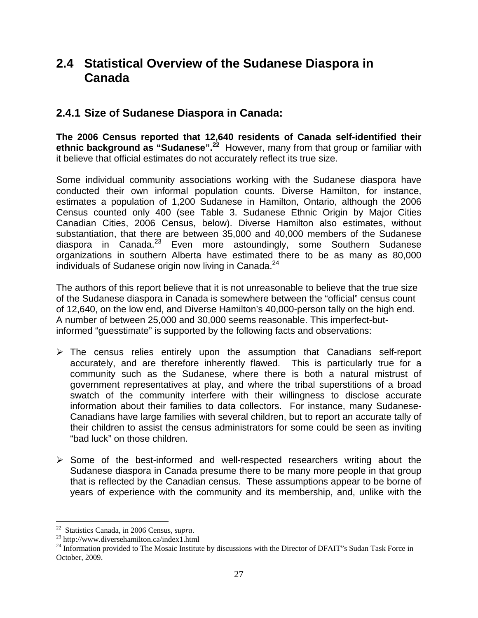# **2.4 Statistical Overview of the Sudanese Diaspora in Canada**

# **2.4.1 Size of Sudanese Diaspora in Canada:**

**The 2006 Census reported that 12,640 residents of Canada self-identified their ethnic background as "Sudanese".<sup>22</sup>** However, many from that group or familiar with it believe that official estimates do not accurately reflect its true size.

Some individual community associations working with the Sudanese diaspora have conducted their own informal population counts. Diverse Hamilton, for instance, estimates a population of 1,200 Sudanese in Hamilton, Ontario, although the 2006 Census counted only 400 (see Table 3. Sudanese Ethnic Origin by Major Cities Canadian Cities, 2006 Census, below). Diverse Hamilton also estimates, without substantiation, that there are between 35,000 and 40,000 members of the Sudanese diaspora in Canada.<sup>23</sup> Even more astoundingly, some Southern Sudanese organizations in southern Alberta have estimated there to be as many as 80,000 individuals of Sudanese origin now living in Canada.<sup>24</sup>

The authors of this report believe that it is not unreasonable to believe that the true size of the Sudanese diaspora in Canada is somewhere between the "official" census count of 12,640, on the low end, and Diverse Hamilton's 40,000-person tally on the high end. A number of between 25,000 and 30,000 seems reasonable. This imperfect-butinformed "guesstimate" is supported by the following facts and observations:

- $\triangleright$  The census relies entirely upon the assumption that Canadians self-report accurately, and are therefore inherently flawed. This is particularly true for a community such as the Sudanese, where there is both a natural mistrust of government representatives at play, and where the tribal superstitions of a broad swatch of the community interfere with their willingness to disclose accurate information about their families to data collectors. For instance, many Sudanese-Canadians have large families with several children, but to report an accurate tally of their children to assist the census administrators for some could be seen as inviting "bad luck" on those children.
- $\triangleright$  Some of the best-informed and well-respected researchers writing about the Sudanese diaspora in Canada presume there to be many more people in that group that is reflected by the Canadian census. These assumptions appear to be borne of years of experience with the community and its membership, and, unlike with the

<sup>&</sup>lt;sup>22</sup> Statistics Canada, in 2006 Census, *supra*.

<sup>&</sup>lt;sup>23</sup> http://www.diversehamilton.ca/index1.html

<sup>&</sup>lt;sup>24</sup> Information provided to The Mosaic Institute by discussions with the Director of DFAIT"s Sudan Task Force in October, 2009.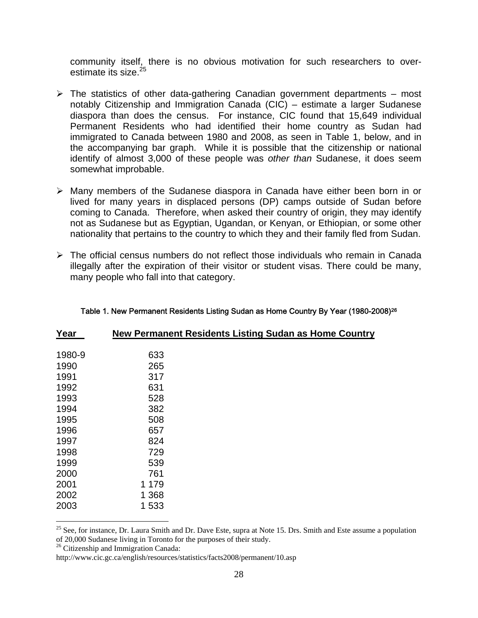community itself, there is no obvious motivation for such researchers to overestimate its size.<sup>25</sup>

- $\triangleright$  The statistics of other data-gathering Canadian government departments most notably Citizenship and Immigration Canada (CIC) – estimate a larger Sudanese diaspora than does the census. For instance, CIC found that 15,649 individual Permanent Residents who had identified their home country as Sudan had immigrated to Canada between 1980 and 2008, as seen in Table 1, below, and in the accompanying bar graph. While it is possible that the citizenship or national identify of almost 3,000 of these people was *other than* Sudanese, it does seem somewhat improbable.
- ¾ Many members of the Sudanese diaspora in Canada have either been born in or lived for many years in displaced persons (DP) camps outside of Sudan before coming to Canada. Therefore, when asked their country of origin, they may identify not as Sudanese but as Egyptian, Ugandan, or Kenyan, or Ethiopian, or some other nationality that pertains to the country to which they and their family fled from Sudan.
- $\triangleright$  The official census numbers do not reflect those individuals who remain in Canada illegally after the expiration of their visitor or student visas. There could be many, many people who fall into that category.

| Year   |         | New Permanent Residents Listing Sudan as Home Country |
|--------|---------|-------------------------------------------------------|
| 1980-9 | 633     |                                                       |
| 1990   | 265     |                                                       |
| 1991   | 317     |                                                       |
| 1992   | 631     |                                                       |
| 1993   | 528     |                                                       |
| 1994   | 382     |                                                       |
| 1995   | 508     |                                                       |
| 1996   | 657     |                                                       |
| 1997   | 824     |                                                       |
| 1998   | 729     |                                                       |
| 1999   | 539     |                                                       |
| 2000   | 761     |                                                       |
| 2001   | 1 1 7 9 |                                                       |
| 2002   | 1 3 6 8 |                                                       |
| 2003   | 1 533   |                                                       |

#### Table 1. New Permanent Residents Listing Sudan as Home Country By Year (1980-2008)26

 $\overline{a}$ 

<sup>&</sup>lt;sup>25</sup> See, for instance, Dr. Laura Smith and Dr. Dave Este, supra at Note 15. Drs. Smith and Este assume a population of 20,000 Sudanese living in Toronto for the purposes of their study.

<sup>&</sup>lt;sup>26</sup> Citizenship and Immigration Canada:

http://www.cic.gc.ca/english/resources/statistics/facts2008/permanent/10.asp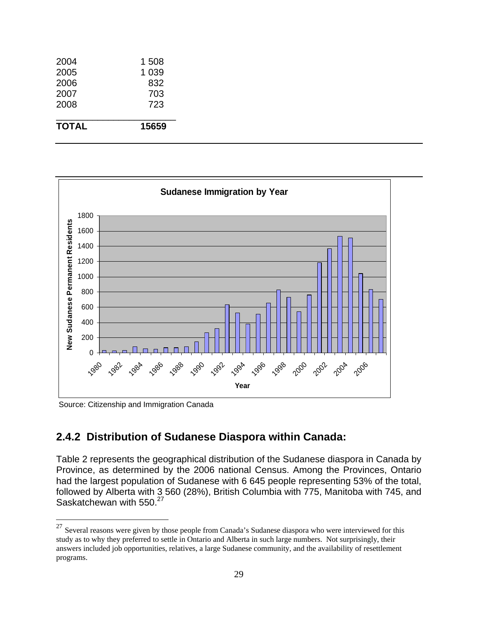| <b>TOTAL</b> | 15659   |
|--------------|---------|
| 2008         | 723     |
| 2007         | 703     |
| 2006         | 832     |
| 2005         | 1 0 3 9 |
| 2004         | 1 508   |



Source: Citizenship and Immigration Canada

 $\overline{a}$ 

## **2.4.2 Distribution of Sudanese Diaspora within Canada:**

Table 2 represents the geographical distribution of the Sudanese diaspora in Canada by Province, as determined by the 2006 national Census. Among the Provinces, Ontario had the largest population of Sudanese with 6 645 people representing 53% of the total, followed by Alberta with 3 560 (28%), British Columbia with 775, Manitoba with 745, and Saskatchewan with 550.<sup>27</sup>

 $27$  Several reasons were given by those people from Canada's Sudanese diaspora who were interviewed for this study as to why they preferred to settle in Ontario and Alberta in such large numbers. Not surprisingly, their answers included job opportunities, relatives, a large Sudanese community, and the availability of resettlement programs.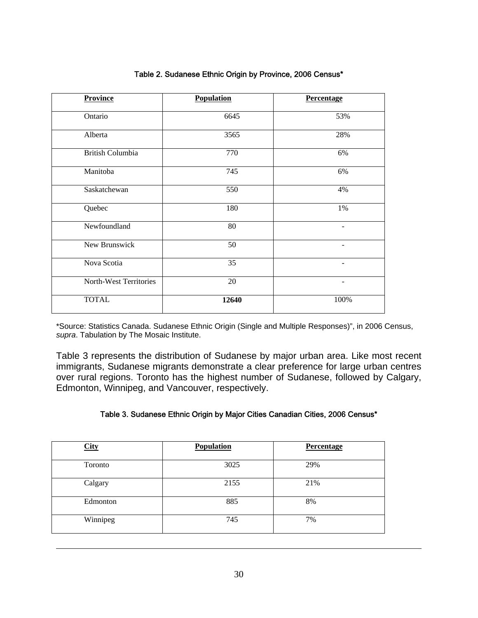| <b>Province</b>         | <b>Population</b> | <b>Percentage</b>        |
|-------------------------|-------------------|--------------------------|
| Ontario                 | 6645              | 53%                      |
| Alberta                 | 3565              | 28%                      |
| <b>British Columbia</b> | 770               | 6%                       |
| Manitoba                | 745               | 6%                       |
| Saskatchewan            | 550               | 4%                       |
| Quebec                  | 180               | 1%                       |
| Newfoundland            | 80                |                          |
| New Brunswick           | 50                |                          |
| Nova Scotia             | 35                | $\overline{\phantom{a}}$ |
| North-West Territories  | 20                |                          |
| <b>TOTAL</b>            | 12640             | 100%                     |

#### Table 2. Sudanese Ethnic Origin by Province, 2006 Census\*

\*Source: Statistics Canada. Sudanese Ethnic Origin (Single and Multiple Responses)", in 2006 Census, *supra*. Tabulation by The Mosaic Institute.

Table 3 represents the distribution of Sudanese by major urban area. Like most recent immigrants, Sudanese migrants demonstrate a clear preference for large urban centres over rural regions. Toronto has the highest number of Sudanese, followed by Calgary, Edmonton, Winnipeg, and Vancouver, respectively.

#### Table 3. Sudanese Ethnic Origin by Major Cities Canadian Cities, 2006 Census\*

| <b>City</b> | Population | Percentage |
|-------------|------------|------------|
| Toronto     | 3025       | 29%        |
| Calgary     | 2155       | 21%        |
| Edmonton    | 885        | 8%         |
| Winnipeg    | 745        | 7%         |

 $\overline{a}$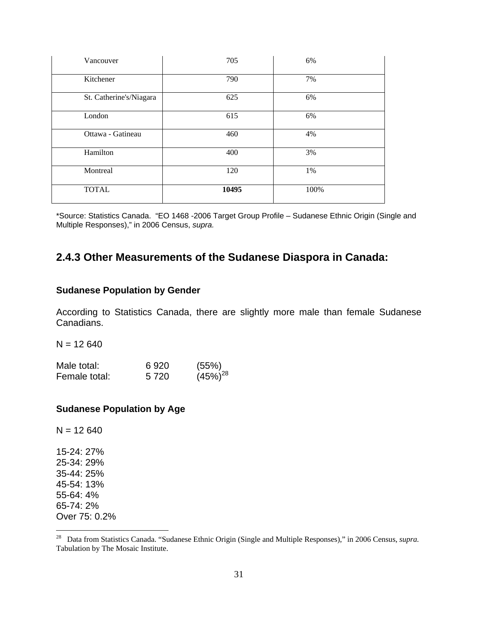| Vancouver               | 705   | 6%   |
|-------------------------|-------|------|
| Kitchener               | 790   | 7%   |
| St. Catherine's/Niagara | 625   | 6%   |
| London                  | 615   | 6%   |
| Ottawa - Gatineau       | 460   | 4%   |
| Hamilton                | 400   | 3%   |
| Montreal                | 120   | 1%   |
| <b>TOTAL</b>            | 10495 | 100% |

\*Source: Statistics Canada. "EO 1468 -2006 Target Group Profile – Sudanese Ethnic Origin (Single and Multiple Responses)," in 2006 Census, *supra.*

## **2.4.3 Other Measurements of the Sudanese Diaspora in Canada:**

#### **Sudanese Population by Gender**

According to Statistics Canada, there are slightly more male than female Sudanese Canadians.

 $N = 12640$ 

| Male total:   | 6920    | (55%)         |
|---------------|---------|---------------|
| Female total: | 5 7 2 0 | $(45\%)^{28}$ |

#### **Sudanese Population by Age**

15-24: 27% 25-34: 29% 35-44: 25% 45-54: 13% 55-64: 4% 65-74: 2% Over 75: 0.2%

 $\overline{a}$ 

 $N = 12640$ 

<sup>28</sup> Data from Statistics Canada. "Sudanese Ethnic Origin (Single and Multiple Responses)," in 2006 Census, *supra.* Tabulation by The Mosaic Institute.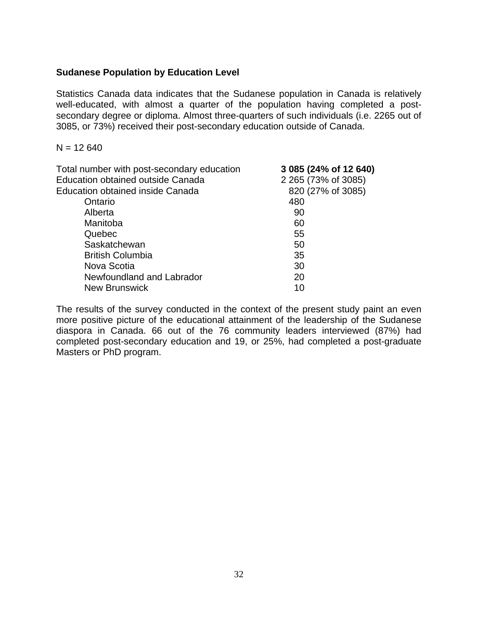### **Sudanese Population by Education Level**

Statistics Canada data indicates that the Sudanese population in Canada is relatively well-educated, with almost a quarter of the population having completed a postsecondary degree or diploma. Almost three-quarters of such individuals (i.e. 2265 out of 3085, or 73%) received their post-secondary education outside of Canada.

 $N = 12640$ 

| Total number with post-secondary education | 3 085 (24% of 12 640) |
|--------------------------------------------|-----------------------|
| <b>Education obtained outside Canada</b>   | 2 265 (73% of 3085)   |
| Education obtained inside Canada           | 820 (27% of 3085)     |
| Ontario                                    | 480                   |
| Alberta                                    | 90                    |
| Manitoba                                   | 60                    |
| Quebec                                     | 55                    |
| Saskatchewan                               | 50                    |
| <b>British Columbia</b>                    | 35                    |
| Nova Scotia                                | 30                    |
| Newfoundland and Labrador                  | 20                    |
| <b>New Brunswick</b>                       | 10                    |
|                                            |                       |

The results of the survey conducted in the context of the present study paint an even more positive picture of the educational attainment of the leadership of the Sudanese diaspora in Canada. 66 out of the 76 community leaders interviewed (87%) had completed post-secondary education and 19, or 25%, had completed a post-graduate Masters or PhD program.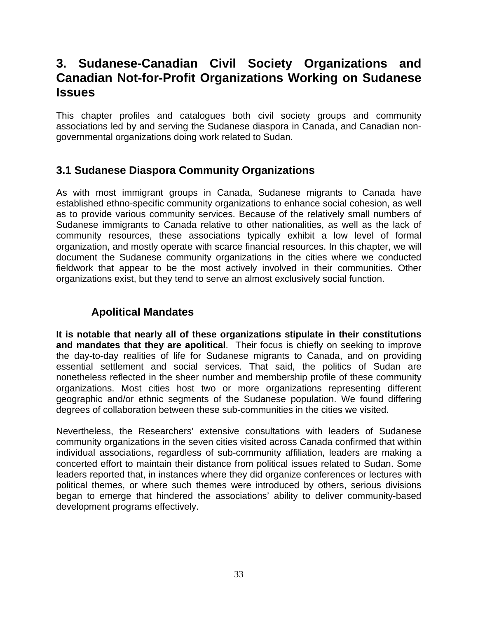# **3. Sudanese-Canadian Civil Society Organizations and Canadian Not-for-Profit Organizations Working on Sudanese Issues**

This chapter profiles and catalogues both civil society groups and community associations led by and serving the Sudanese diaspora in Canada, and Canadian nongovernmental organizations doing work related to Sudan.

# **3.1 Sudanese Diaspora Community Organizations**

As with most immigrant groups in Canada, Sudanese migrants to Canada have established ethno-specific community organizations to enhance social cohesion, as well as to provide various community services. Because of the relatively small numbers of Sudanese immigrants to Canada relative to other nationalities, as well as the lack of community resources, these associations typically exhibit a low level of formal organization, and mostly operate with scarce financial resources. In this chapter, we will document the Sudanese community organizations in the cities where we conducted fieldwork that appear to be the most actively involved in their communities. Other organizations exist, but they tend to serve an almost exclusively social function.

# **Apolitical Mandates**

**It is notable that nearly all of these organizations stipulate in their constitutions and mandates that they are apolitical**. Their focus is chiefly on seeking to improve the day-to-day realities of life for Sudanese migrants to Canada, and on providing essential settlement and social services. That said, the politics of Sudan are nonetheless reflected in the sheer number and membership profile of these community organizations. Most cities host two or more organizations representing different geographic and/or ethnic segments of the Sudanese population. We found differing degrees of collaboration between these sub-communities in the cities we visited.

Nevertheless, the Researchers' extensive consultations with leaders of Sudanese community organizations in the seven cities visited across Canada confirmed that within individual associations, regardless of sub-community affiliation, leaders are making a concerted effort to maintain their distance from political issues related to Sudan. Some leaders reported that, in instances where they did organize conferences or lectures with political themes, or where such themes were introduced by others, serious divisions began to emerge that hindered the associations' ability to deliver community-based development programs effectively.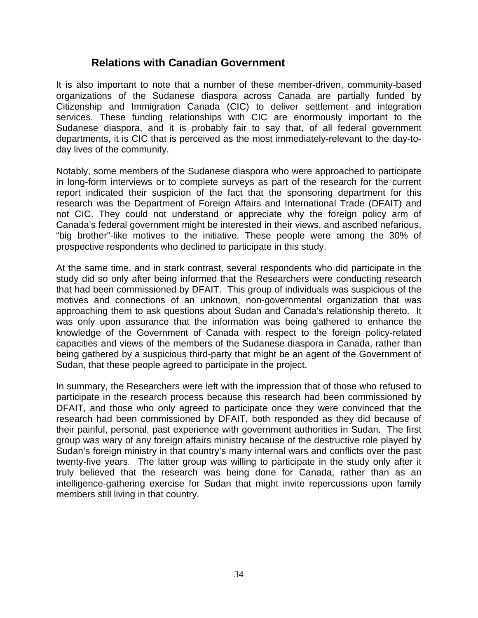### **Relations with Canadian Government**

It is also important to note that a number of these member-driven, community-based organizations of the Sudanese diaspora across Canada are partially funded by Citizenship and Immigration Canada (CIC) to deliver settlement and integration services. These funding relationships with CIC are enormously important to the Sudanese diaspora, and it is probably fair to say that, of all federal government departments, it is CIC that is perceived as the most immediately-relevant to the day-today lives of the community.

Notably, some members of the Sudanese diaspora who were approached to participate in long-form interviews or to complete surveys as part of the research for the current report indicated their suspicion of the fact that the sponsoring department for this research was the Department of Foreign Affairs and International Trade (DFAIT) and not CIC. They could not understand or appreciate why the foreign policy arm of Canada's federal government might be interested in their views, and ascribed nefarious, "big brother"-like motives to the initiative. These people were among the 30% of prospective respondents who declined to participate in this study.

At the same time, and in stark contrast, several respondents who did participate in the study did so only after being informed that the Researchers were conducting research that had been commissioned by DFAIT. This group of individuals was suspicious of the motives and connections of an unknown, non-governmental organization that was approaching them to ask questions about Sudan and Canada's relationship thereto. It was only upon assurance that the information was being gathered to enhance the knowledge of the Government of Canada with respect to the foreign policy-related capacities and views of the members of the Sudanese diaspora in Canada, rather than being gathered by a suspicious third-party that might be an agent of the Government of Sudan, that these people agreed to participate in the project.

In summary, the Researchers were left with the impression that of those who refused to participate in the research process because this research had been commissioned by DFAIT, and those who only agreed to participate once they were convinced that the research had been commissioned by DFAIT, both responded as they did because of their painful, personal, past experience with government authorities in Sudan. The first group was wary of any foreign affairs ministry because of the destructive role played by Sudan's foreign ministry in that country's many internal wars and conflicts over the past twenty-five years. The latter group was willing to participate in the study only after it truly believed that the research was being done for Canada, rather than as an intelligence-gathering exercise for Sudan that might invite repercussions upon family members still living in that country.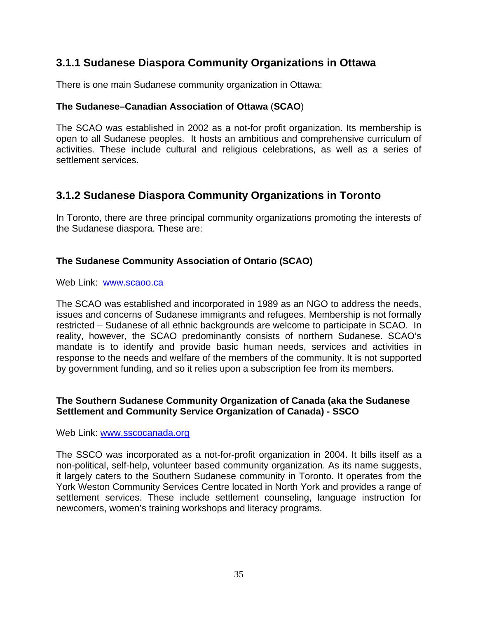# **3.1.1 Sudanese Diaspora Community Organizations in Ottawa**

There is one main Sudanese community organization in Ottawa:

### **The Sudanese–Canadian Association of Ottawa** (**SCAO**)

The SCAO was established in 2002 as a not-for profit organization. Its membership is open to all Sudanese peoples. It hosts an ambitious and comprehensive curriculum of activities. These include cultural and religious celebrations, as well as a series of settlement services.

# **3.1.2 Sudanese Diaspora Community Organizations in Toronto**

In Toronto, there are three principal community organizations promoting the interests of the Sudanese diaspora. These are:

### **The Sudanese Community Association of Ontario (SCAO)**

Web Link: www.scaoo.ca

The SCAO was established and incorporated in 1989 as an NGO to address the needs, issues and concerns of Sudanese immigrants and refugees. Membership is not formally restricted – Sudanese of all ethnic backgrounds are welcome to participate in SCAO. In reality, however, the SCAO predominantly consists of northern Sudanese. SCAO's mandate is to identify and provide basic human needs, services and activities in response to the needs and welfare of the members of the community. It is not supported by government funding, and so it relies upon a subscription fee from its members.

### **The Southern Sudanese Community Organization of Canada (aka the Sudanese Settlement and Community Service Organization of Canada) - SSCO**

Web Link: www.sscocanada.org

The SSCO was incorporated as a not-for-profit organization in 2004. It bills itself as a non-political, self-help, volunteer based community organization. As its name suggests, it largely caters to the Southern Sudanese community in Toronto. It operates from the York Weston Community Services Centre located in North York and provides a range of settlement services. These include settlement counseling, language instruction for newcomers, women's training workshops and literacy programs.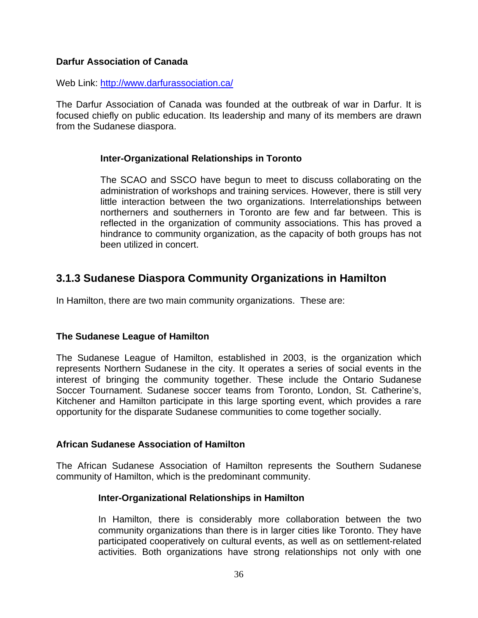### **Darfur Association of Canada**

Web Link: http://www.darfurassociation.ca/

The Darfur Association of Canada was founded at the outbreak of war in Darfur. It is focused chiefly on public education. Its leadership and many of its members are drawn from the Sudanese diaspora.

#### **Inter-Organizational Relationships in Toronto**

The SCAO and SSCO have begun to meet to discuss collaborating on the administration of workshops and training services. However, there is still very little interaction between the two organizations. Interrelationships between northerners and southerners in Toronto are few and far between. This is reflected in the organization of community associations. This has proved a hindrance to community organization, as the capacity of both groups has not been utilized in concert.

### **3.1.3 Sudanese Diaspora Community Organizations in Hamilton**

In Hamilton, there are two main community organizations. These are:

### **The Sudanese League of Hamilton**

The Sudanese League of Hamilton, established in 2003, is the organization which represents Northern Sudanese in the city. It operates a series of social events in the interest of bringing the community together. These include the Ontario Sudanese Soccer Tournament. Sudanese soccer teams from Toronto, London, St. Catherine's, Kitchener and Hamilton participate in this large sporting event, which provides a rare opportunity for the disparate Sudanese communities to come together socially.

### **African Sudanese Association of Hamilton**

The African Sudanese Association of Hamilton represents the Southern Sudanese community of Hamilton, which is the predominant community.

### **Inter-Organizational Relationships in Hamilton**

In Hamilton, there is considerably more collaboration between the two community organizations than there is in larger cities like Toronto. They have participated cooperatively on cultural events, as well as on settlement-related activities. Both organizations have strong relationships not only with one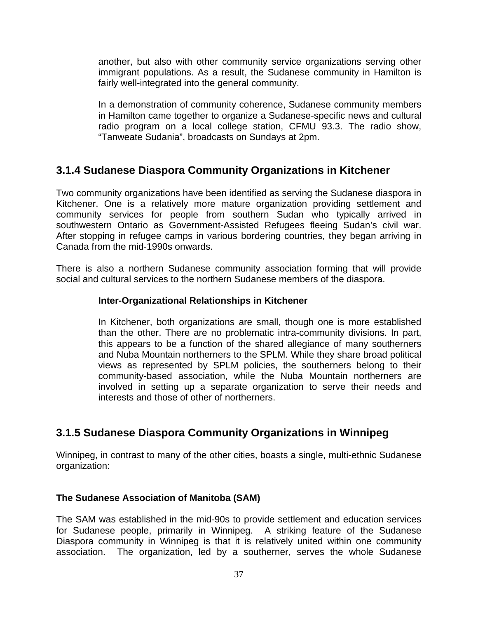another, but also with other community service organizations serving other immigrant populations. As a result, the Sudanese community in Hamilton is fairly well-integrated into the general community.

In a demonstration of community coherence, Sudanese community members in Hamilton came together to organize a Sudanese-specific news and cultural radio program on a local college station, CFMU 93.3. The radio show, "Tanweate Sudania", broadcasts on Sundays at 2pm.

# **3.1.4 Sudanese Diaspora Community Organizations in Kitchener**

Two community organizations have been identified as serving the Sudanese diaspora in Kitchener. One is a relatively more mature organization providing settlement and community services for people from southern Sudan who typically arrived in southwestern Ontario as Government-Assisted Refugees fleeing Sudan's civil war. After stopping in refugee camps in various bordering countries, they began arriving in Canada from the mid-1990s onwards.

There is also a northern Sudanese community association forming that will provide social and cultural services to the northern Sudanese members of the diaspora.

### **Inter-Organizational Relationships in Kitchener**

In Kitchener, both organizations are small, though one is more established than the other. There are no problematic intra-community divisions. In part, this appears to be a function of the shared allegiance of many southerners and Nuba Mountain northerners to the SPLM. While they share broad political views as represented by SPLM policies, the southerners belong to their community-based association, while the Nuba Mountain northerners are involved in setting up a separate organization to serve their needs and interests and those of other of northerners.

# **3.1.5 Sudanese Diaspora Community Organizations in Winnipeg**

Winnipeg, in contrast to many of the other cities, boasts a single, multi-ethnic Sudanese organization:

### **The Sudanese Association of Manitoba (SAM)**

The SAM was established in the mid-90s to provide settlement and education services for Sudanese people, primarily in Winnipeg. A striking feature of the Sudanese Diaspora community in Winnipeg is that it is relatively united within one community association. The organization, led by a southerner, serves the whole Sudanese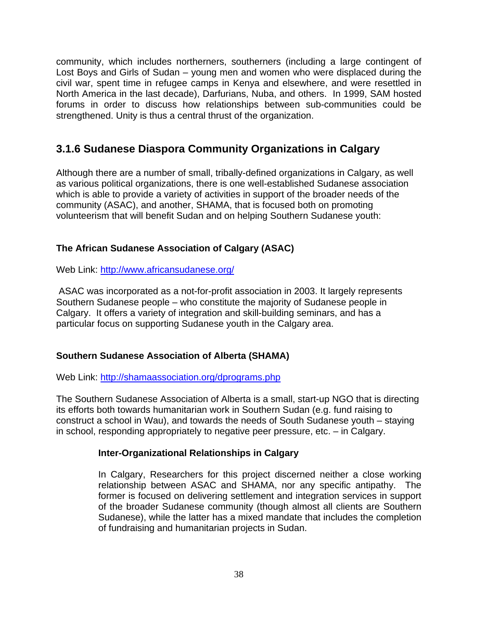community, which includes northerners, southerners (including a large contingent of Lost Boys and Girls of Sudan – young men and women who were displaced during the civil war, spent time in refugee camps in Kenya and elsewhere, and were resettled in North America in the last decade), Darfurians, Nuba, and others. In 1999, SAM hosted forums in order to discuss how relationships between sub-communities could be strengthened. Unity is thus a central thrust of the organization.

# **3.1.6 Sudanese Diaspora Community Organizations in Calgary**

Although there are a number of small, tribally-defined organizations in Calgary, as well as various political organizations, there is one well-established Sudanese association which is able to provide a variety of activities in support of the broader needs of the community (ASAC), and another, SHAMA, that is focused both on promoting volunteerism that will benefit Sudan and on helping Southern Sudanese youth:

### **The African Sudanese Association of Calgary (ASAC)**

Web Link: http://www.africansudanese.org/

 ASAC was incorporated as a not-for-profit association in 2003. It largely represents Southern Sudanese people – who constitute the majority of Sudanese people in Calgary. It offers a variety of integration and skill-building seminars, and has a particular focus on supporting Sudanese youth in the Calgary area.

### **Southern Sudanese Association of Alberta (SHAMA)**

Web Link: http://shamaassociation.org/dprograms.php

The Southern Sudanese Association of Alberta is a small, start-up NGO that is directing its efforts both towards humanitarian work in Southern Sudan (e.g. fund raising to construct a school in Wau), and towards the needs of South Sudanese youth – staying in school, responding appropriately to negative peer pressure, etc. – in Calgary.

### **Inter-Organizational Relationships in Calgary**

In Calgary, Researchers for this project discerned neither a close working relationship between ASAC and SHAMA, nor any specific antipathy. The former is focused on delivering settlement and integration services in support of the broader Sudanese community (though almost all clients are Southern Sudanese), while the latter has a mixed mandate that includes the completion of fundraising and humanitarian projects in Sudan.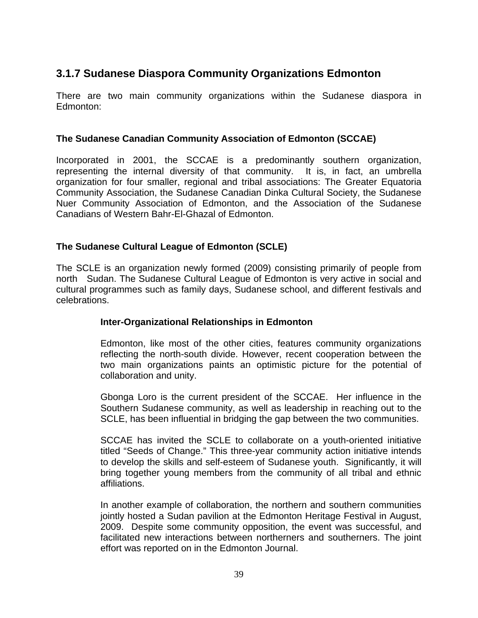# **3.1.7 Sudanese Diaspora Community Organizations Edmonton**

There are two main community organizations within the Sudanese diaspora in Edmonton:

### **The Sudanese Canadian Community Association of Edmonton (SCCAE)**

Incorporated in 2001, the SCCAE is a predominantly southern organization, representing the internal diversity of that community. It is, in fact, an umbrella organization for four smaller, regional and tribal associations: The Greater Equatoria Community Association, the Sudanese Canadian Dinka Cultural Society, the Sudanese Nuer Community Association of Edmonton, and the Association of the Sudanese Canadians of Western Bahr-El-Ghazal of Edmonton.

### **The Sudanese Cultural League of Edmonton (SCLE)**

The SCLE is an organization newly formed (2009) consisting primarily of people from north Sudan. The Sudanese Cultural League of Edmonton is very active in social and cultural programmes such as family days, Sudanese school, and different festivals and celebrations.

### **Inter-Organizational Relationships in Edmonton**

Edmonton, like most of the other cities, features community organizations reflecting the north-south divide. However, recent cooperation between the two main organizations paints an optimistic picture for the potential of collaboration and unity.

Gbonga Loro is the current president of the SCCAE. Her influence in the Southern Sudanese community, as well as leadership in reaching out to the SCLE, has been influential in bridging the gap between the two communities.

SCCAE has invited the SCLE to collaborate on a youth-oriented initiative titled "Seeds of Change." This three-year community action initiative intends to develop the skills and self-esteem of Sudanese youth. Significantly, it will bring together young members from the community of all tribal and ethnic affiliations.

In another example of collaboration, the northern and southern communities jointly hosted a Sudan pavilion at the Edmonton Heritage Festival in August, 2009. Despite some community opposition, the event was successful, and facilitated new interactions between northerners and southerners. The joint effort was reported on in the Edmonton Journal.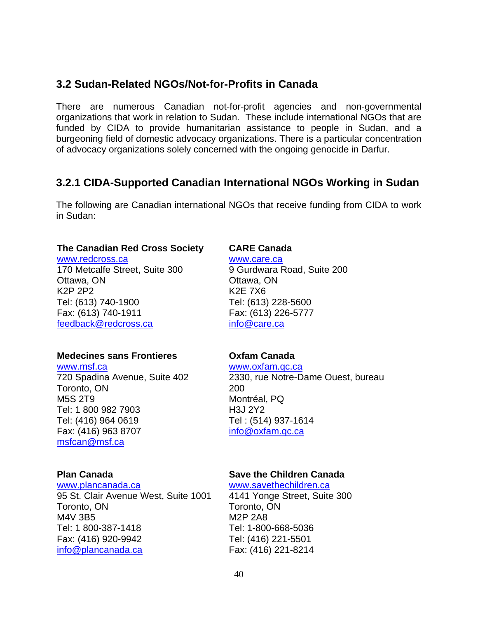## **3.2 Sudan-Related NGOs/Not-for-Profits in Canada**

There are numerous Canadian not-for-profit agencies and non-governmental organizations that work in relation to Sudan. These include international NGOs that are funded by CIDA to provide humanitarian assistance to people in Sudan, and a burgeoning field of domestic advocacy organizations. There is a particular concentration of advocacy organizations solely concerned with the ongoing genocide in Darfur.

### **3.2.1 CIDA-Supported Canadian International NGOs Working in Sudan**

The following are Canadian international NGOs that receive funding from CIDA to work in Sudan:

#### **The Canadian Red Cross Society**

www.redcross.ca 170 Metcalfe Street, Suite 300 Ottawa, ON K2P 2P2 Tel: (613) 740-1900 Fax: (613) 740-1911 feedback@redcross.ca

### **Medecines sans Frontieres**

www.msf.ca 720 Spadina Avenue, Suite 402 Toronto, ON M5S 2T9 Tel: 1 800 982 7903 Tel: (416) 964 0619 Fax: (416) 963 8707 msfcan@msf.ca

#### **Plan Canada**

#### www.plancanada.ca

95 St. Clair Avenue West, Suite 1001 Toronto, ON M4V 3B5 Tel: 1 800-387-1418 Fax: (416) 920-9942 info@plancanada.ca

### **CARE Canada**

www.care.ca 9 Gurdwara Road, Suite 200 Ottawa, ON K2E 7X6 Tel: (613) 228-5600 Fax: (613) 226-5777 info@care.ca

### **Oxfam Canada**

www.oxfam.qc.ca 2330, rue Notre-Dame Ouest, bureau 200 Montréal, PQ H3J 2Y2 Tel : (514) 937-1614 info@oxfam.qc.ca

### **Save the Children Canada**

www.savethechildren.ca

4141 Yonge Street, Suite 300 Toronto, ON M2P 2A8 Tel: 1-800-668-5036 Tel: (416) 221-5501 Fax: (416) 221-8214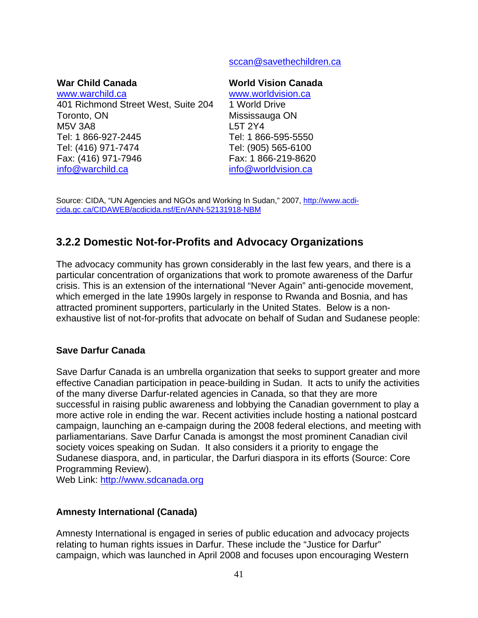### sccan@savethechildren.ca

### **War Child Canada**

www.warchild.ca 401 Richmond Street West, Suite 204 Toronto, ON M5V 3A8 Tel: 1 866-927-2445 Tel: (416) 971-7474 Fax: (416) 971-7946 info@warchild.ca

#### **World Vision Canada**

www.worldvision.ca 1 World Drive Mississauga ON L5T 2Y4 Tel: 1 866-595-5550 Tel: (905) 565-6100 Fax: 1 866-219-8620 info@worldvision.ca

Source: CIDA, "UN Agencies and NGOs and Working In Sudan," 2007, http://www.acdicida.gc.ca/CIDAWEB/acdicida.nsf/En/ANN-52131918-NBM

# **3.2.2 Domestic Not-for-Profits and Advocacy Organizations**

The advocacy community has grown considerably in the last few years, and there is a particular concentration of organizations that work to promote awareness of the Darfur crisis. This is an extension of the international "Never Again" anti-genocide movement, which emerged in the late 1990s largely in response to Rwanda and Bosnia, and has attracted prominent supporters, particularly in the United States. Below is a nonexhaustive list of not-for-profits that advocate on behalf of Sudan and Sudanese people:

### **Save Darfur Canada**

Save Darfur Canada is an umbrella organization that seeks to support greater and more effective Canadian participation in peace-building in Sudan. It acts to unify the activities of the many diverse Darfur-related agencies in Canada, so that they are more successful in raising public awareness and lobbying the Canadian government to play a more active role in ending the war. Recent activities include hosting a national postcard campaign, launching an e-campaign during the 2008 federal elections, and meeting with parliamentarians. Save Darfur Canada is amongst the most prominent Canadian civil society voices speaking on Sudan. It also considers it a priority to engage the Sudanese diaspora, and, in particular, the Darfuri diaspora in its efforts (Source: Core Programming Review).

Web Link: http://www.sdcanada.org

### **Amnesty International (Canada)**

Amnesty International is engaged in series of public education and advocacy projects relating to human rights issues in Darfur. These include the "Justice for Darfur" campaign, which was launched in April 2008 and focuses upon encouraging Western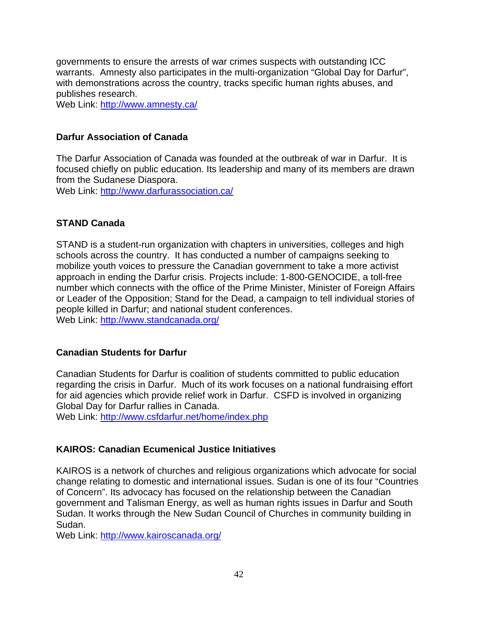governments to ensure the arrests of war crimes suspects with outstanding ICC warrants. Amnesty also participates in the multi-organization "Global Day for Darfur", with demonstrations across the country, tracks specific human rights abuses, and publishes research.

Web Link: http://www.amnesty.ca/

### **Darfur Association of Canada**

The Darfur Association of Canada was founded at the outbreak of war in Darfur. It is focused chiefly on public education. Its leadership and many of its members are drawn from the Sudanese Diaspora.

Web Link: http://www.darfurassociation.ca/

### **STAND Canada**

STAND is a student-run organization with chapters in universities, colleges and high schools across the country. It has conducted a number of campaigns seeking to mobilize youth voices to pressure the Canadian government to take a more activist approach in ending the Darfur crisis. Projects include: 1-800-GENOCIDE, a toll-free number which connects with the office of the Prime Minister, Minister of Foreign Affairs or Leader of the Opposition; Stand for the Dead, a campaign to tell individual stories of people killed in Darfur; and national student conferences. Web Link: http://www.standcanada.org/

### **Canadian Students for Darfur**

Canadian Students for Darfur is coalition of students committed to public education regarding the crisis in Darfur. Much of its work focuses on a national fundraising effort for aid agencies which provide relief work in Darfur. CSFD is involved in organizing Global Day for Darfur rallies in Canada.

Web Link: http://www.csfdarfur.net/home/index.php

### **KAIROS: Canadian Ecumenical Justice Initiatives**

KAIROS is a network of churches and religious organizations which advocate for social change relating to domestic and international issues. Sudan is one of its four "Countries of Concern". Its advocacy has focused on the relationship between the Canadian government and Talisman Energy, as well as human rights issues in Darfur and South Sudan. It works through the New Sudan Council of Churches in community building in Sudan.

Web Link: http://www.kairoscanada.org/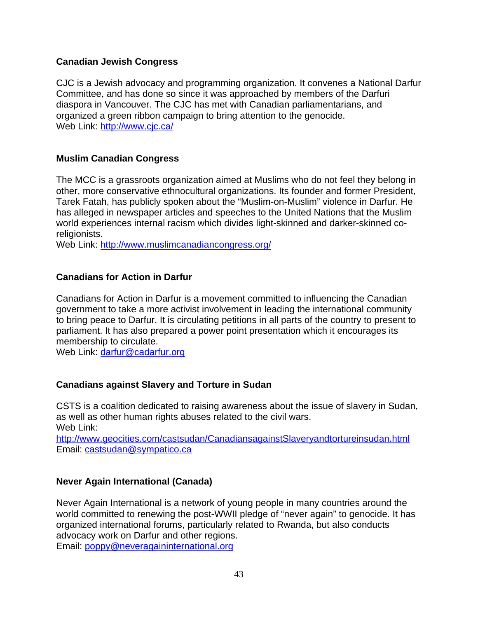### **Canadian Jewish Congress**

CJC is a Jewish advocacy and programming organization. It convenes a National Darfur Committee, and has done so since it was approached by members of the Darfuri diaspora in Vancouver. The CJC has met with Canadian parliamentarians, and organized a green ribbon campaign to bring attention to the genocide. Web Link: http://www.cjc.ca/

### **Muslim Canadian Congress**

The MCC is a grassroots organization aimed at Muslims who do not feel they belong in other, more conservative ethnocultural organizations. Its founder and former President, Tarek Fatah, has publicly spoken about the "Muslim-on-Muslim" violence in Darfur. He has alleged in newspaper articles and speeches to the United Nations that the Muslim world experiences internal racism which divides light-skinned and darker-skinned coreligionists.

Web Link: http://www.muslimcanadiancongress.org/

### **Canadians for Action in Darfur**

Canadians for Action in Darfur is a movement committed to influencing the Canadian government to take a more activist involvement in leading the international community to bring peace to Darfur. It is circulating petitions in all parts of the country to present to parliament. It has also prepared a power point presentation which it encourages its membership to circulate.

Web Link: darfur@cadarfur.org

### **Canadians against Slavery and Torture in Sudan**

CSTS is a coalition dedicated to raising awareness about the issue of slavery in Sudan, as well as other human rights abuses related to the civil wars. Web Link:

http://www.geocities.com/castsudan/CanadiansagainstSlaveryandtortureinsudan.html Email: castsudan@sympatico.ca

### **Never Again International (Canada)**

Never Again International is a network of young people in many countries around the world committed to renewing the post-WWII pledge of "never again" to genocide. It has organized international forums, particularly related to Rwanda, but also conducts advocacy work on Darfur and other regions.

Email: poppy@neveragaininternational.org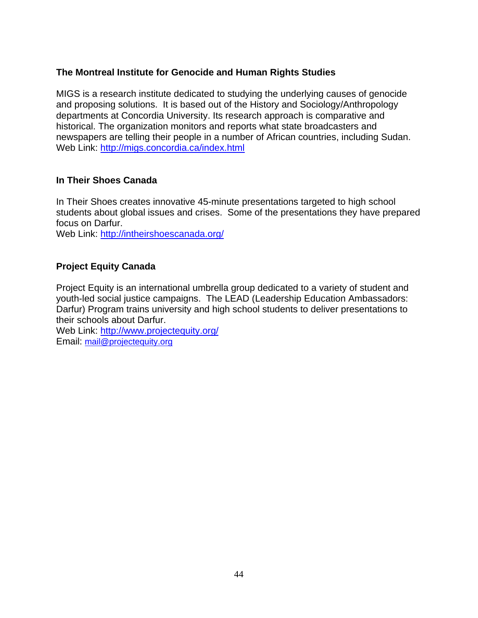### **The Montreal Institute for Genocide and Human Rights Studies**

MIGS is a research institute dedicated to studying the underlying causes of genocide and proposing solutions. It is based out of the History and Sociology/Anthropology departments at Concordia University. Its research approach is comparative and historical. The organization monitors and reports what state broadcasters and newspapers are telling their people in a number of African countries, including Sudan. Web Link: http://migs.concordia.ca/index.html

### **In Their Shoes Canada**

In Their Shoes creates innovative 45-minute presentations targeted to high school students about global issues and crises. Some of the presentations they have prepared focus on Darfur.

Web Link: http://intheirshoescanada.org/

### **Project Equity Canada**

Project Equity is an international umbrella group dedicated to a variety of student and youth-led social justice campaigns. The LEAD (Leadership Education Ambassadors: Darfur) Program trains university and high school students to deliver presentations to their schools about Darfur.

Web Link: http://www.projectequity.org/ Email: mail@projectequity.org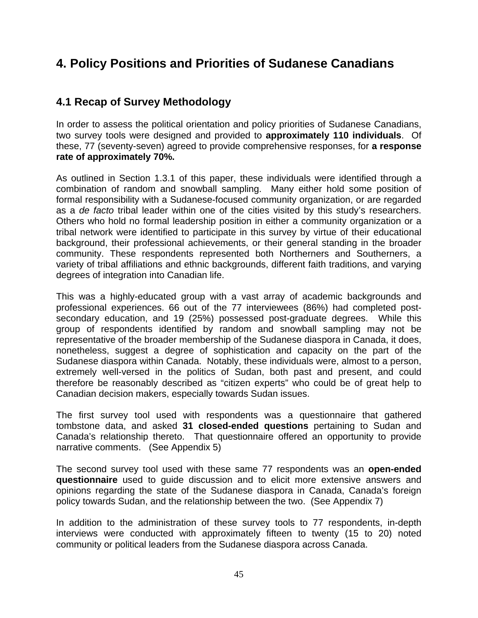# **4. Policy Positions and Priorities of Sudanese Canadians**

# **4.1 Recap of Survey Methodology**

In order to assess the political orientation and policy priorities of Sudanese Canadians, two survey tools were designed and provided to **approximately 110 individuals**. Of these, 77 (seventy-seven) agreed to provide comprehensive responses, for **a response rate of approximately 70%.** 

As outlined in Section 1.3.1 of this paper, these individuals were identified through a combination of random and snowball sampling. Many either hold some position of formal responsibility with a Sudanese-focused community organization, or are regarded as a *de facto* tribal leader within one of the cities visited by this study's researchers. Others who hold no formal leadership position in either a community organization or a tribal network were identified to participate in this survey by virtue of their educational background, their professional achievements, or their general standing in the broader community. These respondents represented both Northerners and Southerners, a variety of tribal affiliations and ethnic backgrounds, different faith traditions, and varying degrees of integration into Canadian life.

This was a highly-educated group with a vast array of academic backgrounds and professional experiences. 66 out of the 77 interviewees (86%) had completed postsecondary education, and 19 (25%) possessed post-graduate degrees. While this group of respondents identified by random and snowball sampling may not be representative of the broader membership of the Sudanese diaspora in Canada, it does, nonetheless, suggest a degree of sophistication and capacity on the part of the Sudanese diaspora within Canada. Notably, these individuals were, almost to a person, extremely well-versed in the politics of Sudan, both past and present, and could therefore be reasonably described as "citizen experts" who could be of great help to Canadian decision makers, especially towards Sudan issues.

The first survey tool used with respondents was a questionnaire that gathered tombstone data, and asked **31 closed-ended questions** pertaining to Sudan and Canada's relationship thereto. That questionnaire offered an opportunity to provide narrative comments. (See Appendix 5)

The second survey tool used with these same 77 respondents was an **open-ended questionnaire** used to guide discussion and to elicit more extensive answers and opinions regarding the state of the Sudanese diaspora in Canada, Canada's foreign policy towards Sudan, and the relationship between the two. (See Appendix 7)

In addition to the administration of these survey tools to 77 respondents, in-depth interviews were conducted with approximately fifteen to twenty (15 to 20) noted community or political leaders from the Sudanese diaspora across Canada.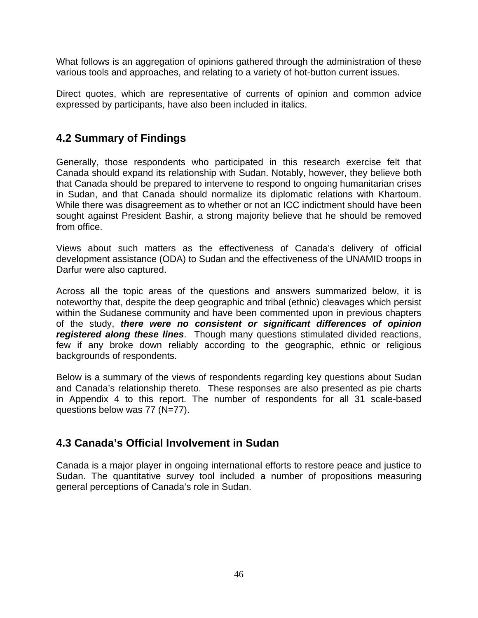What follows is an aggregation of opinions gathered through the administration of these various tools and approaches, and relating to a variety of hot-button current issues.

Direct quotes, which are representative of currents of opinion and common advice expressed by participants, have also been included in italics.

# **4.2 Summary of Findings**

Generally, those respondents who participated in this research exercise felt that Canada should expand its relationship with Sudan. Notably, however, they believe both that Canada should be prepared to intervene to respond to ongoing humanitarian crises in Sudan, and that Canada should normalize its diplomatic relations with Khartoum. While there was disagreement as to whether or not an ICC indictment should have been sought against President Bashir, a strong majority believe that he should be removed from office.

Views about such matters as the effectiveness of Canada's delivery of official development assistance (ODA) to Sudan and the effectiveness of the UNAMID troops in Darfur were also captured.

Across all the topic areas of the questions and answers summarized below, it is noteworthy that, despite the deep geographic and tribal (ethnic) cleavages which persist within the Sudanese community and have been commented upon in previous chapters of the study, *there were no consistent or significant differences of opinion registered along these lines*. Though many questions stimulated divided reactions, few if any broke down reliably according to the geographic, ethnic or religious backgrounds of respondents.

Below is a summary of the views of respondents regarding key questions about Sudan and Canada's relationship thereto. These responses are also presented as pie charts in Appendix 4 to this report. The number of respondents for all 31 scale-based questions below was 77 (N=77).

# **4.3 Canada's Official Involvement in Sudan**

Canada is a major player in ongoing international efforts to restore peace and justice to Sudan. The quantitative survey tool included a number of propositions measuring general perceptions of Canada's role in Sudan.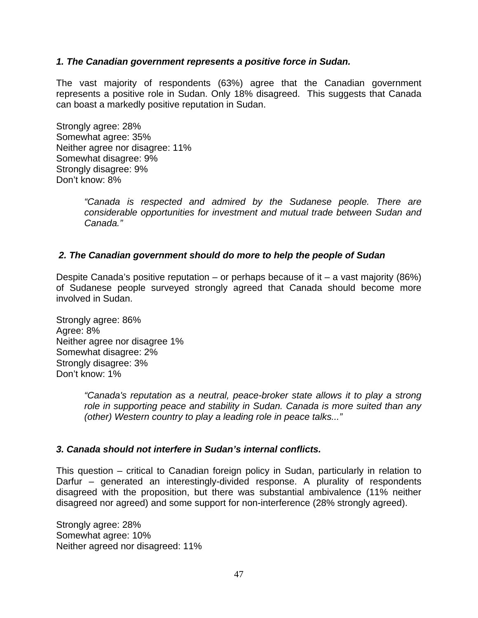### *1. The Canadian government represents a positive force in Sudan.*

The vast majority of respondents (63%) agree that the Canadian government represents a positive role in Sudan. Only 18% disagreed. This suggests that Canada can boast a markedly positive reputation in Sudan.

Strongly agree: 28% Somewhat agree: 35% Neither agree nor disagree: 11% Somewhat disagree: 9% Strongly disagree: 9% Don't know: 8%

> *"Canada is respected and admired by the Sudanese people. There are considerable opportunities for investment and mutual trade between Sudan and Canada."*

### *2. The Canadian government should do more to help the people of Sudan*

Despite Canada's positive reputation – or perhaps because of it – a vast majority (86%) of Sudanese people surveyed strongly agreed that Canada should become more involved in Sudan.

Strongly agree: 86% Agree: 8% Neither agree nor disagree 1% Somewhat disagree: 2% Strongly disagree: 3% Don't know: 1%

> *"Canada's reputation as a neutral, peace-broker state allows it to play a strong role in supporting peace and stability in Sudan. Canada is more suited than any (other) Western country to play a leading role in peace talks..."*

### *3. Canada should not interfere in Sudan's internal conflicts.*

This question – critical to Canadian foreign policy in Sudan, particularly in relation to Darfur – generated an interestingly-divided response. A plurality of respondents disagreed with the proposition, but there was substantial ambivalence (11% neither disagreed nor agreed) and some support for non-interference (28% strongly agreed).

Strongly agree: 28% Somewhat agree: 10% Neither agreed nor disagreed: 11%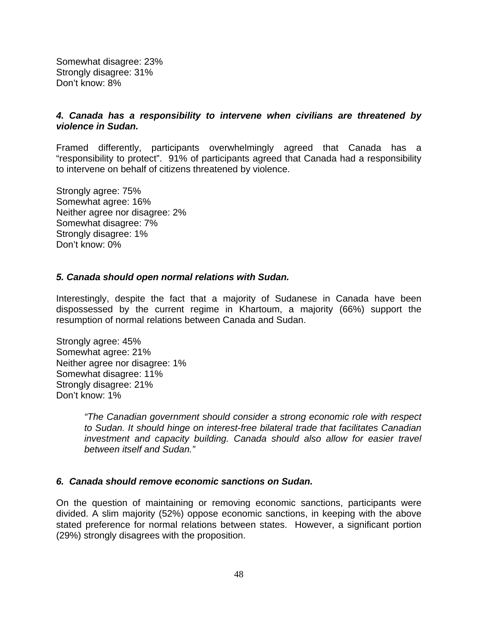Somewhat disagree: 23% Strongly disagree: 31% Don't know: 8%

#### *4. Canada has a responsibility to intervene when civilians are threatened by violence in Sudan.*

Framed differently, participants overwhelmingly agreed that Canada has a "responsibility to protect". 91% of participants agreed that Canada had a responsibility to intervene on behalf of citizens threatened by violence.

Strongly agree: 75% Somewhat agree: 16% Neither agree nor disagree: 2% Somewhat disagree: 7% Strongly disagree: 1% Don't know: 0%

#### *5. Canada should open normal relations with Sudan.*

Interestingly, despite the fact that a majority of Sudanese in Canada have been dispossessed by the current regime in Khartoum, a majority (66%) support the resumption of normal relations between Canada and Sudan.

Strongly agree: 45% Somewhat agree: 21% Neither agree nor disagree: 1% Somewhat disagree: 11% Strongly disagree: 21% Don't know: 1%

> *"The Canadian government should consider a strong economic role with respect to Sudan. It should hinge on interest-free bilateral trade that facilitates Canadian investment and capacity building. Canada should also allow for easier travel between itself and Sudan."*

### *6. Canada should remove economic sanctions on Sudan.*

On the question of maintaining or removing economic sanctions, participants were divided. A slim majority (52%) oppose economic sanctions, in keeping with the above stated preference for normal relations between states. However, a significant portion (29%) strongly disagrees with the proposition.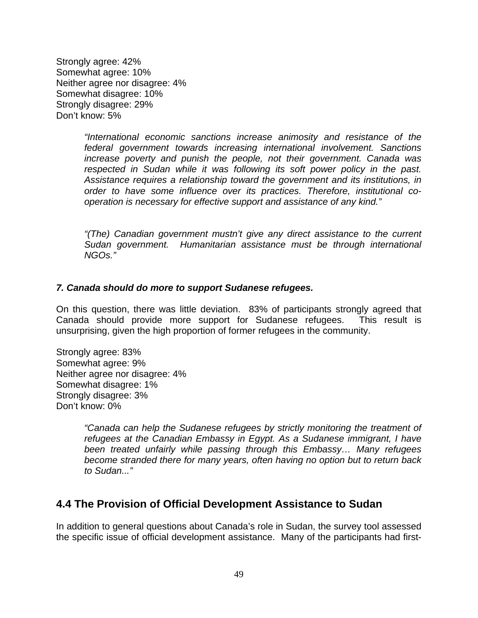Strongly agree: 42% Somewhat agree: 10% Neither agree nor disagree: 4% Somewhat disagree: 10% Strongly disagree: 29% Don't know: 5%

> *"International economic sanctions increase animosity and resistance of the federal government towards increasing international involvement. Sanctions increase poverty and punish the people, not their government. Canada was respected in Sudan while it was following its soft power policy in the past. Assistance requires a relationship toward the government and its institutions, in order to have some influence over its practices. Therefore, institutional cooperation is necessary for effective support and assistance of any kind."*

> *"(The) Canadian government mustn't give any direct assistance to the current Sudan government. Humanitarian assistance must be through international NGOs."*

#### *7. Canada should do more to support Sudanese refugees.*

On this question, there was little deviation. 83% of participants strongly agreed that Canada should provide more support for Sudanese refugees. This result is unsurprising, given the high proportion of former refugees in the community.

Strongly agree: 83% Somewhat agree: 9% Neither agree nor disagree: 4% Somewhat disagree: 1% Strongly disagree: 3% Don't know: 0%

> *"Canada can help the Sudanese refugees by strictly monitoring the treatment of refugees at the Canadian Embassy in Egypt. As a Sudanese immigrant, I have been treated unfairly while passing through this Embassy… Many refugees become stranded there for many years, often having no option but to return back to Sudan..."*

### **4.4 The Provision of Official Development Assistance to Sudan**

In addition to general questions about Canada's role in Sudan, the survey tool assessed the specific issue of official development assistance. Many of the participants had first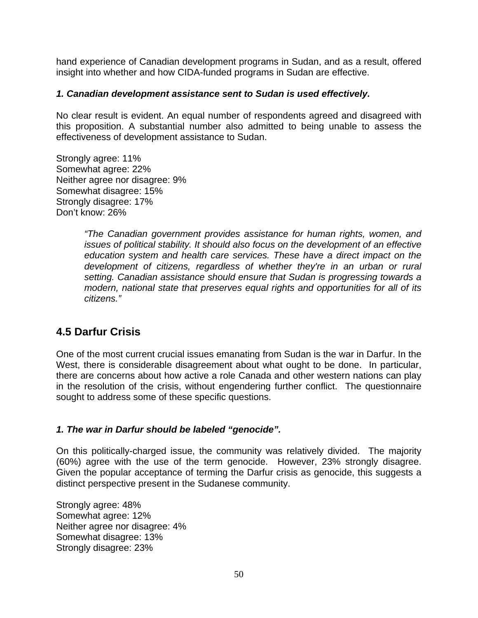hand experience of Canadian development programs in Sudan, and as a result, offered insight into whether and how CIDA-funded programs in Sudan are effective.

### *1. Canadian development assistance sent to Sudan is used effectively.*

No clear result is evident. An equal number of respondents agreed and disagreed with this proposition. A substantial number also admitted to being unable to assess the effectiveness of development assistance to Sudan.

Strongly agree: 11% Somewhat agree: 22% Neither agree nor disagree: 9% Somewhat disagree: 15% Strongly disagree: 17% Don't know: 26%

> *"The Canadian government provides assistance for human rights, women, and issues of political stability. It should also focus on the development of an effective education system and health care services. These have a direct impact on the development of citizens, regardless of whether they're in an urban or rural setting. Canadian assistance should ensure that Sudan is progressing towards a modern, national state that preserves equal rights and opportunities for all of its citizens."*

# **4.5 Darfur Crisis**

One of the most current crucial issues emanating from Sudan is the war in Darfur. In the West, there is considerable disagreement about what ought to be done. In particular, there are concerns about how active a role Canada and other western nations can play in the resolution of the crisis, without engendering further conflict. The questionnaire sought to address some of these specific questions.

### *1. The war in Darfur should be labeled "genocide".*

On this politically-charged issue, the community was relatively divided. The majority (60%) agree with the use of the term genocide. However, 23% strongly disagree. Given the popular acceptance of terming the Darfur crisis as genocide, this suggests a distinct perspective present in the Sudanese community.

Strongly agree: 48% Somewhat agree: 12% Neither agree nor disagree: 4% Somewhat disagree: 13% Strongly disagree: 23%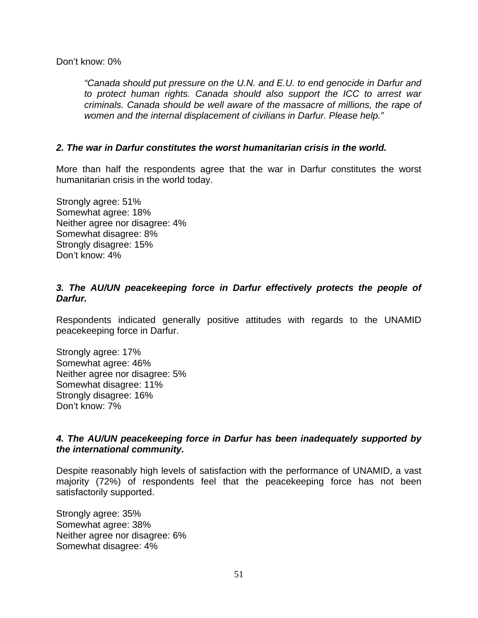Don't know: 0%

*"Canada should put pressure on the U.N. and E.U. to end genocide in Darfur and to protect human rights. Canada should also support the ICC to arrest war criminals. Canada should be well aware of the massacre of millions, the rape of women and the internal displacement of civilians in Darfur. Please help."* 

### *2. The war in Darfur constitutes the worst humanitarian crisis in the world.*

More than half the respondents agree that the war in Darfur constitutes the worst humanitarian crisis in the world today.

Strongly agree: 51% Somewhat agree: 18% Neither agree nor disagree: 4% Somewhat disagree: 8% Strongly disagree: 15% Don't know: 4%

### *3. The AU/UN peacekeeping force in Darfur effectively protects the people of Darfur.*

Respondents indicated generally positive attitudes with regards to the UNAMID peacekeeping force in Darfur.

Strongly agree: 17% Somewhat agree: 46% Neither agree nor disagree: 5% Somewhat disagree: 11% Strongly disagree: 16% Don't know: 7%

### *4. The AU/UN peacekeeping force in Darfur has been inadequately supported by the international community.*

Despite reasonably high levels of satisfaction with the performance of UNAMID, a vast majority (72%) of respondents feel that the peacekeeping force has not been satisfactorily supported.

Strongly agree: 35% Somewhat agree: 38% Neither agree nor disagree: 6% Somewhat disagree: 4%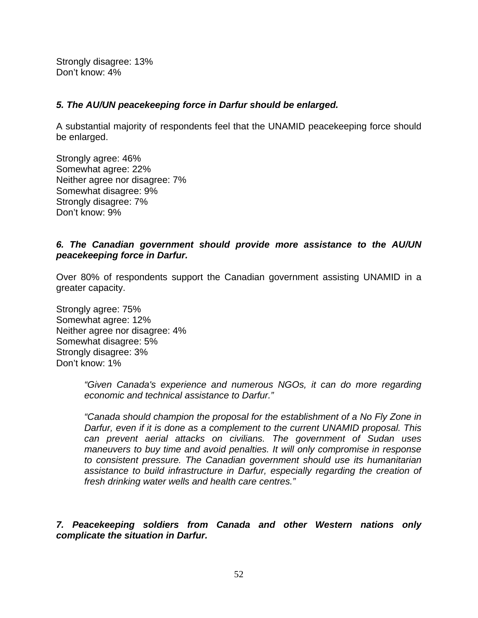Strongly disagree: 13% Don't know: 4%

### *5. The AU/UN peacekeeping force in Darfur should be enlarged.*

A substantial majority of respondents feel that the UNAMID peacekeeping force should be enlarged.

Strongly agree: 46% Somewhat agree: 22% Neither agree nor disagree: 7% Somewhat disagree: 9% Strongly disagree: 7% Don't know: 9%

### *6. The Canadian government should provide more assistance to the AU/UN peacekeeping force in Darfur.*

Over 80% of respondents support the Canadian government assisting UNAMID in a greater capacity.

Strongly agree: 75% Somewhat agree: 12% Neither agree nor disagree: 4% Somewhat disagree: 5% Strongly disagree: 3% Don't know: 1%

> *"Given Canada's experience and numerous NGOs, it can do more regarding economic and technical assistance to Darfur."*

> *"Canada should champion the proposal for the establishment of a No Fly Zone in Darfur, even if it is done as a complement to the current UNAMID proposal. This can prevent aerial attacks on civilians. The government of Sudan uses maneuvers to buy time and avoid penalties. It will only compromise in response to consistent pressure. The Canadian government should use its humanitarian assistance to build infrastructure in Darfur, especially regarding the creation of fresh drinking water wells and health care centres."*

*7. Peacekeeping soldiers from Canada and other Western nations only complicate the situation in Darfur.*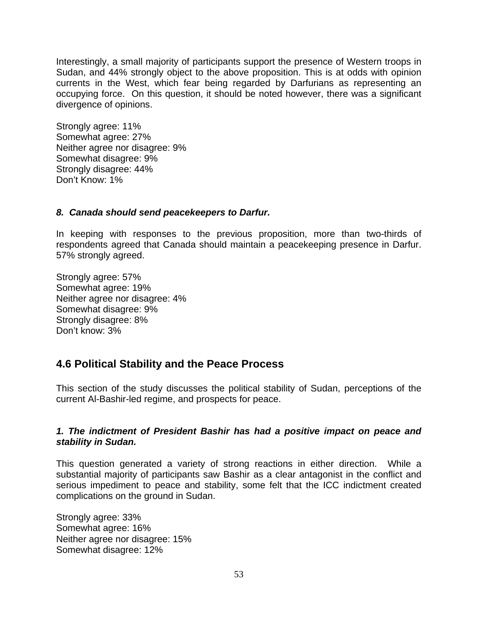Interestingly, a small majority of participants support the presence of Western troops in Sudan, and 44% strongly object to the above proposition. This is at odds with opinion currents in the West, which fear being regarded by Darfurians as representing an occupying force. On this question, it should be noted however, there was a significant divergence of opinions.

Strongly agree: 11% Somewhat agree: 27% Neither agree nor disagree: 9% Somewhat disagree: 9% Strongly disagree: 44% Don't Know: 1%

### *8. Canada should send peacekeepers to Darfur.*

In keeping with responses to the previous proposition, more than two-thirds of respondents agreed that Canada should maintain a peacekeeping presence in Darfur. 57% strongly agreed.

Strongly agree: 57% Somewhat agree: 19% Neither agree nor disagree: 4% Somewhat disagree: 9% Strongly disagree: 8% Don't know: 3%

# **4.6 Political Stability and the Peace Process**

This section of the study discusses the political stability of Sudan, perceptions of the current Al-Bashir-led regime, and prospects for peace.

### *1. The indictment of President Bashir has had a positive impact on peace and stability in Sudan.*

This question generated a variety of strong reactions in either direction. While a substantial majority of participants saw Bashir as a clear antagonist in the conflict and serious impediment to peace and stability, some felt that the ICC indictment created complications on the ground in Sudan.

Strongly agree: 33% Somewhat agree: 16% Neither agree nor disagree: 15% Somewhat disagree: 12%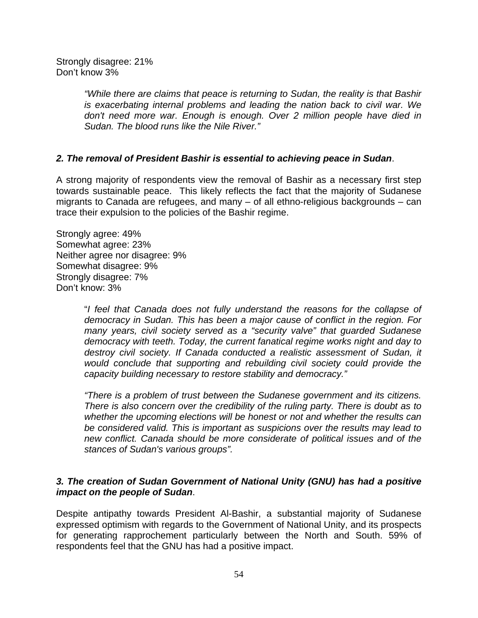Strongly disagree: 21% Don't know 3%

> *"While there are claims that peace is returning to Sudan, the reality is that Bashir is exacerbating internal problems and leading the nation back to civil war. We don't need more war. Enough is enough. Over 2 million people have died in Sudan. The blood runs like the Nile River."*

### *2. The removal of President Bashir is essential to achieving peace in Sudan*.

A strong majority of respondents view the removal of Bashir as a necessary first step towards sustainable peace. This likely reflects the fact that the majority of Sudanese migrants to Canada are refugees, and many – of all ethno-religious backgrounds – can trace their expulsion to the policies of the Bashir regime.

Strongly agree: 49% Somewhat agree: 23% Neither agree nor disagree: 9% Somewhat disagree: 9% Strongly disagree: 7% Don't know: 3%

> "*I feel that Canada does not fully understand the reasons for the collapse of democracy in Sudan. This has been a major cause of conflict in the region. For many years, civil society served as a "security valve" that guarded Sudanese democracy with teeth. Today, the current fanatical regime works night and day to destroy civil society. If Canada conducted a realistic assessment of Sudan, it would conclude that supporting and rebuilding civil society could provide the capacity building necessary to restore stability and democracy."*

> *"There is a problem of trust between the Sudanese government and its citizens. There is also concern over the credibility of the ruling party. There is doubt as to whether the upcoming elections will be honest or not and whether the results can be considered valid. This is important as suspicions over the results may lead to new conflict. Canada should be more considerate of political issues and of the stances of Sudan's various groups".*

### *3. The creation of Sudan Government of National Unity (GNU) has had a positive impact on the people of Sudan*.

Despite antipathy towards President Al-Bashir, a substantial majority of Sudanese expressed optimism with regards to the Government of National Unity, and its prospects for generating rapprochement particularly between the North and South. 59% of respondents feel that the GNU has had a positive impact.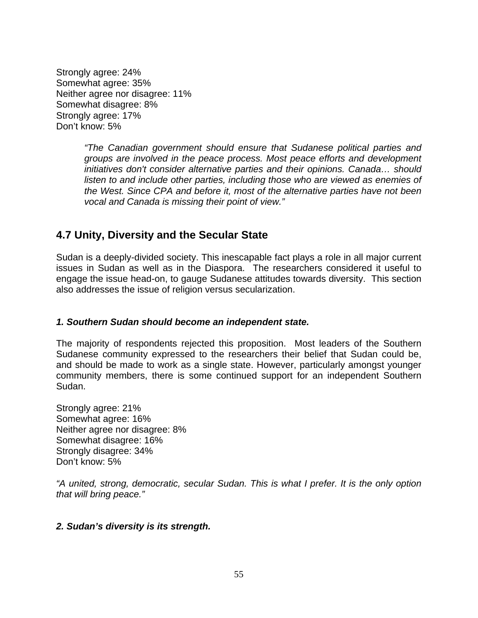Strongly agree: 24% Somewhat agree: 35% Neither agree nor disagree: 11% Somewhat disagree: 8% Strongly agree: 17% Don't know: 5%

> *"The Canadian government should ensure that Sudanese political parties and groups are involved in the peace process. Most peace efforts and development initiatives don't consider alternative parties and their opinions. Canada… should listen to and include other parties, including those who are viewed as enemies of the West. Since CPA and before it, most of the alternative parties have not been vocal and Canada is missing their point of view."*

# **4.7 Unity, Diversity and the Secular State**

Sudan is a deeply-divided society. This inescapable fact plays a role in all major current issues in Sudan as well as in the Diaspora. The researchers considered it useful to engage the issue head-on, to gauge Sudanese attitudes towards diversity. This section also addresses the issue of religion versus secularization.

### *1. Southern Sudan should become an independent state.*

The majority of respondents rejected this proposition. Most leaders of the Southern Sudanese community expressed to the researchers their belief that Sudan could be, and should be made to work as a single state. However, particularly amongst younger community members, there is some continued support for an independent Southern Sudan.

Strongly agree: 21% Somewhat agree: 16% Neither agree nor disagree: 8% Somewhat disagree: 16% Strongly disagree: 34% Don't know: 5%

*"A united, strong, democratic, secular Sudan. This is what I prefer. It is the only option that will bring peace."* 

### *2. Sudan's diversity is its strength.*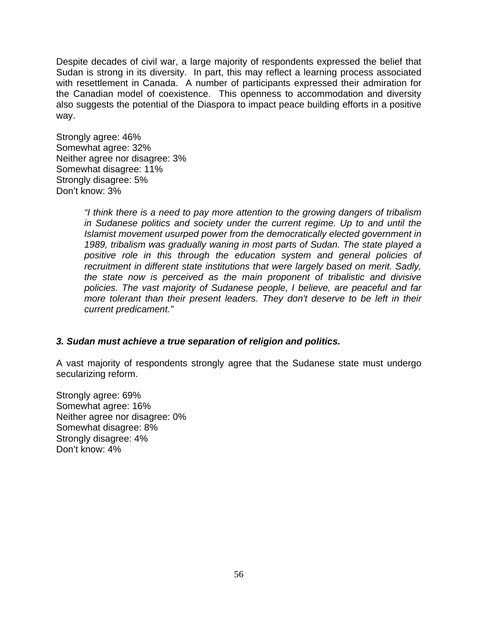Despite decades of civil war, a large majority of respondents expressed the belief that Sudan is strong in its diversity. In part, this may reflect a learning process associated with resettlement in Canada. A number of participants expressed their admiration for the Canadian model of coexistence. This openness to accommodation and diversity also suggests the potential of the Diaspora to impact peace building efforts in a positive way.

Strongly agree: 46% Somewhat agree: 32% Neither agree nor disagree: 3% Somewhat disagree: 11% Strongly disagree: 5% Don't know: 3%

> *"I think there is a need to pay more attention to the growing dangers of tribalism in Sudanese politics and society under the current regime. Up to and until the Islamist movement usurped power from the democratically elected government in 1989, tribalism was gradually waning in most parts of Sudan. The state played a positive role in this through the education system and general policies of recruitment in different state institutions that were largely based on merit. Sadly, the state now is perceived as the main proponent of tribalistic and divisive policies. The vast majority of Sudanese people, I believe, are peaceful and far more tolerant than their present leaders. They don't deserve to be left in their current predicament."*

### *3. Sudan must achieve a true separation of religion and politics.*

A vast majority of respondents strongly agree that the Sudanese state must undergo secularizing reform.

Strongly agree: 69% Somewhat agree: 16% Neither agree nor disagree: 0% Somewhat disagree: 8% Strongly disagree: 4% Don't know: 4%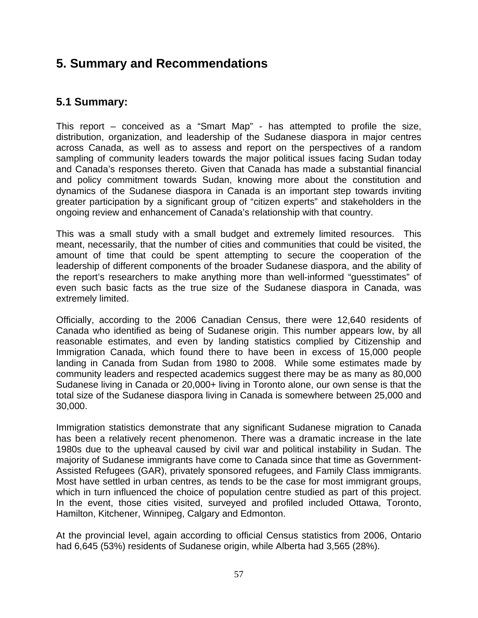# **5. Summary and Recommendations**

# **5.1 Summary:**

This report – conceived as a "Smart Map" - has attempted to profile the size, distribution, organization, and leadership of the Sudanese diaspora in major centres across Canada, as well as to assess and report on the perspectives of a random sampling of community leaders towards the major political issues facing Sudan today and Canada's responses thereto. Given that Canada has made a substantial financial and policy commitment towards Sudan, knowing more about the constitution and dynamics of the Sudanese diaspora in Canada is an important step towards inviting greater participation by a significant group of "citizen experts" and stakeholders in the ongoing review and enhancement of Canada's relationship with that country.

This was a small study with a small budget and extremely limited resources. This meant, necessarily, that the number of cities and communities that could be visited, the amount of time that could be spent attempting to secure the cooperation of the leadership of different components of the broader Sudanese diaspora, and the ability of the report's researchers to make anything more than well-informed "guesstimates" of even such basic facts as the true size of the Sudanese diaspora in Canada, was extremely limited.

Officially, according to the 2006 Canadian Census, there were 12,640 residents of Canada who identified as being of Sudanese origin. This number appears low, by all reasonable estimates, and even by landing statistics complied by Citizenship and Immigration Canada, which found there to have been in excess of 15,000 people landing in Canada from Sudan from 1980 to 2008. While some estimates made by community leaders and respected academics suggest there may be as many as 80,000 Sudanese living in Canada or 20,000+ living in Toronto alone, our own sense is that the total size of the Sudanese diaspora living in Canada is somewhere between 25,000 and 30,000.

Immigration statistics demonstrate that any significant Sudanese migration to Canada has been a relatively recent phenomenon. There was a dramatic increase in the late 1980s due to the upheaval caused by civil war and political instability in Sudan. The majority of Sudanese immigrants have come to Canada since that time as Government-Assisted Refugees (GAR), privately sponsored refugees, and Family Class immigrants. Most have settled in urban centres, as tends to be the case for most immigrant groups, which in turn influenced the choice of population centre studied as part of this project. In the event, those cities visited, surveyed and profiled included Ottawa, Toronto, Hamilton, Kitchener, Winnipeg, Calgary and Edmonton.

At the provincial level, again according to official Census statistics from 2006, Ontario had 6,645 (53%) residents of Sudanese origin, while Alberta had 3,565 (28%).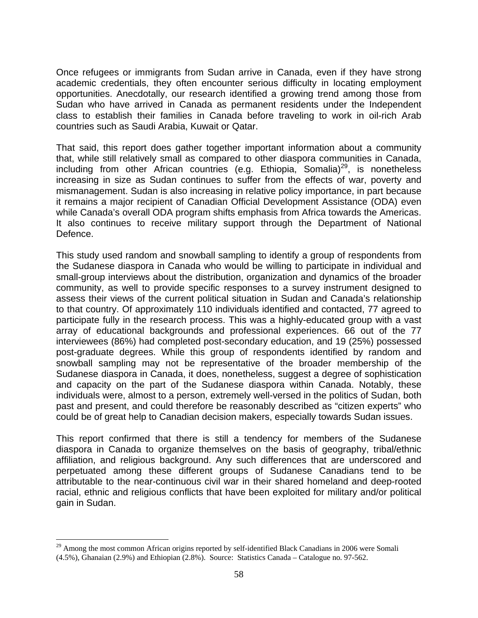Once refugees or immigrants from Sudan arrive in Canada, even if they have strong academic credentials, they often encounter serious difficulty in locating employment opportunities. Anecdotally, our research identified a growing trend among those from Sudan who have arrived in Canada as permanent residents under the Independent class to establish their families in Canada before traveling to work in oil-rich Arab countries such as Saudi Arabia, Kuwait or Qatar.

That said, this report does gather together important information about a community that, while still relatively small as compared to other diaspora communities in Canada, including from other African countries (e.g. Ethiopia, Somalia) $^{29}$ , is nonetheless increasing in size as Sudan continues to suffer from the effects of war, poverty and mismanagement. Sudan is also increasing in relative policy importance, in part because it remains a major recipient of Canadian Official Development Assistance (ODA) even while Canada's overall ODA program shifts emphasis from Africa towards the Americas. It also continues to receive military support through the Department of National Defence.

This study used random and snowball sampling to identify a group of respondents from the Sudanese diaspora in Canada who would be willing to participate in individual and small-group interviews about the distribution, organization and dynamics of the broader community, as well to provide specific responses to a survey instrument designed to assess their views of the current political situation in Sudan and Canada's relationship to that country. Of approximately 110 individuals identified and contacted, 77 agreed to participate fully in the research process. This was a highly-educated group with a vast array of educational backgrounds and professional experiences. 66 out of the 77 interviewees (86%) had completed post-secondary education, and 19 (25%) possessed post-graduate degrees. While this group of respondents identified by random and snowball sampling may not be representative of the broader membership of the Sudanese diaspora in Canada, it does, nonetheless, suggest a degree of sophistication and capacity on the part of the Sudanese diaspora within Canada. Notably, these individuals were, almost to a person, extremely well-versed in the politics of Sudan, both past and present, and could therefore be reasonably described as "citizen experts" who could be of great help to Canadian decision makers, especially towards Sudan issues.

This report confirmed that there is still a tendency for members of the Sudanese diaspora in Canada to organize themselves on the basis of geography, tribal/ethnic affiliation, and religious background. Any such differences that are underscored and perpetuated among these different groups of Sudanese Canadians tend to be attributable to the near-continuous civil war in their shared homeland and deep-rooted racial, ethnic and religious conflicts that have been exploited for military and/or political gain in Sudan.

 $\overline{a}$ 

 $29$  Among the most common African origins reported by self-identified Black Canadians in 2006 were Somali (4.5%), Ghanaian (2.9%) and Ethiopian (2.8%). Source: Statistics Canada – Catalogue no. 97-562.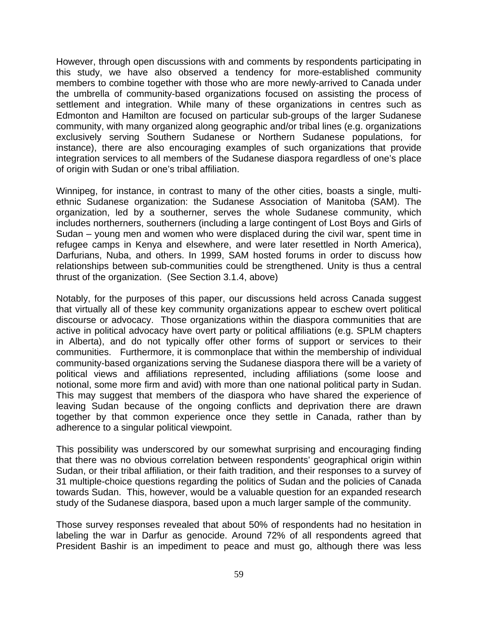However, through open discussions with and comments by respondents participating in this study, we have also observed a tendency for more-established community members to combine together with those who are more newly-arrived to Canada under the umbrella of community-based organizations focused on assisting the process of settlement and integration. While many of these organizations in centres such as Edmonton and Hamilton are focused on particular sub-groups of the larger Sudanese community, with many organized along geographic and/or tribal lines (e.g. organizations exclusively serving Southern Sudanese or Northern Sudanese populations, for instance), there are also encouraging examples of such organizations that provide integration services to all members of the Sudanese diaspora regardless of one's place of origin with Sudan or one's tribal affiliation.

Winnipeg, for instance, in contrast to many of the other cities, boasts a single, multiethnic Sudanese organization: the Sudanese Association of Manitoba (SAM). The organization, led by a southerner, serves the whole Sudanese community, which includes northerners, southerners (including a large contingent of Lost Boys and Girls of Sudan – young men and women who were displaced during the civil war, spent time in refugee camps in Kenya and elsewhere, and were later resettled in North America), Darfurians, Nuba, and others. In 1999, SAM hosted forums in order to discuss how relationships between sub-communities could be strengthened. Unity is thus a central thrust of the organization. (See Section 3.1.4, above)

Notably, for the purposes of this paper, our discussions held across Canada suggest that virtually all of these key community organizations appear to eschew overt political discourse or advocacy. Those organizations within the diaspora communities that are active in political advocacy have overt party or political affiliations (e.g. SPLM chapters in Alberta), and do not typically offer other forms of support or services to their communities. Furthermore, it is commonplace that within the membership of individual community-based organizations serving the Sudanese diaspora there will be a variety of political views and affiliations represented, including affiliations (some loose and notional, some more firm and avid) with more than one national political party in Sudan. This may suggest that members of the diaspora who have shared the experience of leaving Sudan because of the ongoing conflicts and deprivation there are drawn together by that common experience once they settle in Canada, rather than by adherence to a singular political viewpoint.

This possibility was underscored by our somewhat surprising and encouraging finding that there was no obvious correlation between respondents' geographical origin within Sudan, or their tribal affiliation, or their faith tradition, and their responses to a survey of 31 multiple-choice questions regarding the politics of Sudan and the policies of Canada towards Sudan. This, however, would be a valuable question for an expanded research study of the Sudanese diaspora, based upon a much larger sample of the community.

Those survey responses revealed that about 50% of respondents had no hesitation in labeling the war in Darfur as genocide. Around 72% of all respondents agreed that President Bashir is an impediment to peace and must go, although there was less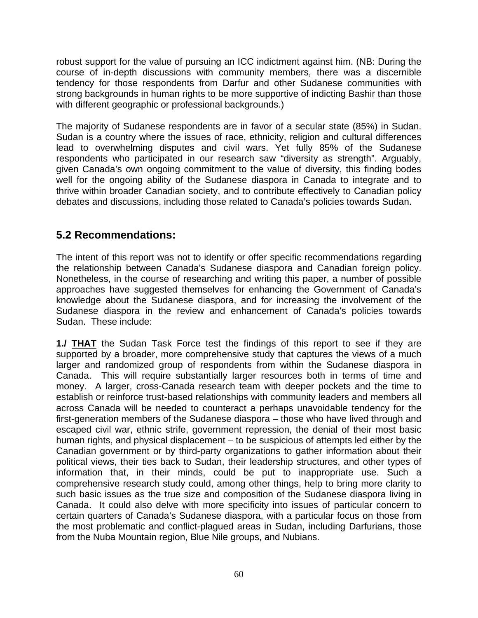robust support for the value of pursuing an ICC indictment against him. (NB: During the course of in-depth discussions with community members, there was a discernible tendency for those respondents from Darfur and other Sudanese communities with strong backgrounds in human rights to be more supportive of indicting Bashir than those with different geographic or professional backgrounds.)

The majority of Sudanese respondents are in favor of a secular state (85%) in Sudan. Sudan is a country where the issues of race, ethnicity, religion and cultural differences lead to overwhelming disputes and civil wars. Yet fully 85% of the Sudanese respondents who participated in our research saw "diversity as strength". Arguably, given Canada's own ongoing commitment to the value of diversity, this finding bodes well for the ongoing ability of the Sudanese diaspora in Canada to integrate and to thrive within broader Canadian society, and to contribute effectively to Canadian policy debates and discussions, including those related to Canada's policies towards Sudan.

# **5.2 Recommendations:**

The intent of this report was not to identify or offer specific recommendations regarding the relationship between Canada's Sudanese diaspora and Canadian foreign policy. Nonetheless, in the course of researching and writing this paper, a number of possible approaches have suggested themselves for enhancing the Government of Canada's knowledge about the Sudanese diaspora, and for increasing the involvement of the Sudanese diaspora in the review and enhancement of Canada's policies towards Sudan. These include:

**1./ THAT** the Sudan Task Force test the findings of this report to see if they are supported by a broader, more comprehensive study that captures the views of a much larger and randomized group of respondents from within the Sudanese diaspora in Canada. This will require substantially larger resources both in terms of time and money. A larger, cross-Canada research team with deeper pockets and the time to establish or reinforce trust-based relationships with community leaders and members all across Canada will be needed to counteract a perhaps unavoidable tendency for the first-generation members of the Sudanese diaspora – those who have lived through and escaped civil war, ethnic strife, government repression, the denial of their most basic human rights, and physical displacement – to be suspicious of attempts led either by the Canadian government or by third-party organizations to gather information about their political views, their ties back to Sudan, their leadership structures, and other types of information that, in their minds, could be put to inappropriate use. Such a comprehensive research study could, among other things, help to bring more clarity to such basic issues as the true size and composition of the Sudanese diaspora living in Canada. It could also delve with more specificity into issues of particular concern to certain quarters of Canada's Sudanese diaspora, with a particular focus on those from the most problematic and conflict-plagued areas in Sudan, including Darfurians, those from the Nuba Mountain region, Blue Nile groups, and Nubians.